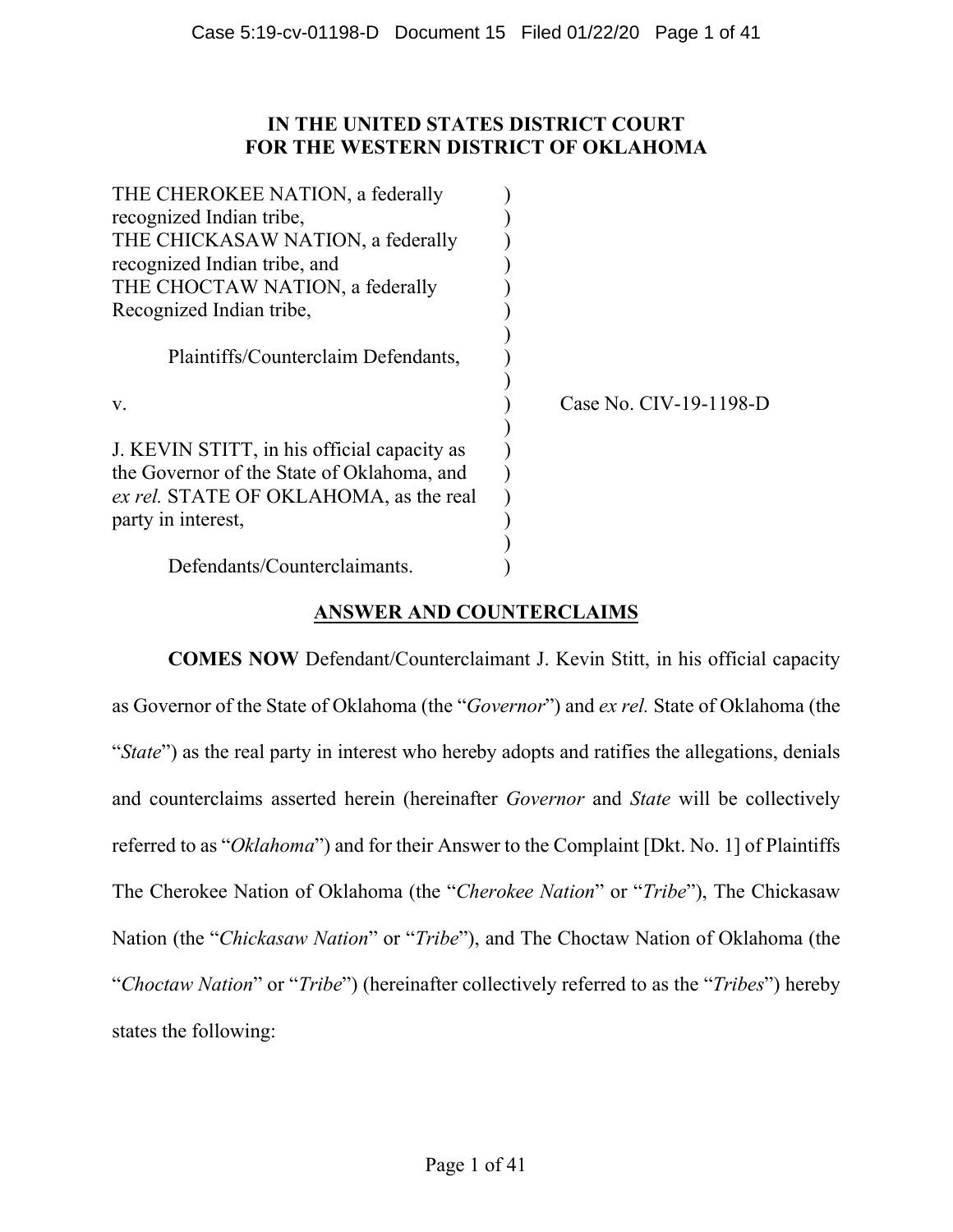# **IN THE UNITED STATES DISTRICT COURT FOR THE WESTERN DISTRICT OF OKLAHOMA**

| THE CHEROKEE NATION, a federally            |                        |
|---------------------------------------------|------------------------|
| recognized Indian tribe,                    |                        |
| THE CHICKASAW NATION, a federally           |                        |
| recognized Indian tribe, and                |                        |
| THE CHOCTAW NATION, a federally             |                        |
| Recognized Indian tribe,                    |                        |
|                                             |                        |
| Plaintiffs/Counterclaim Defendants,         |                        |
|                                             |                        |
| V.                                          | Case No. CIV-19-1198-D |
|                                             |                        |
| J. KEVIN STITT, in his official capacity as |                        |
| the Governor of the State of Oklahoma, and  |                        |
| ex rel. STATE OF OKLAHOMA, as the real      |                        |
| party in interest,                          |                        |
|                                             |                        |
| Defendants/Counterclaimants.                |                        |

# **ANSWER AND COUNTERCLAIMS**

**COMES NOW** Defendant/Counterclaimant J. Kevin Stitt, in his official capacity as Governor of the State of Oklahoma (the "*Governor*") and *ex rel.* State of Oklahoma (the "*State*") as the real party in interest who hereby adopts and ratifies the allegations, denials and counterclaims asserted herein (hereinafter *Governor* and *State* will be collectively referred to as "*Oklahoma*") and for their Answer to the Complaint [Dkt. No. 1] of Plaintiffs The Cherokee Nation of Oklahoma (the "*Cherokee Nation*" or "*Tribe*"), The Chickasaw Nation (the "*Chickasaw Nation*" or "*Tribe*"), and The Choctaw Nation of Oklahoma (the "*Choctaw Nation*" or "*Tribe*") (hereinafter collectively referred to as the "*Tribes*") hereby states the following: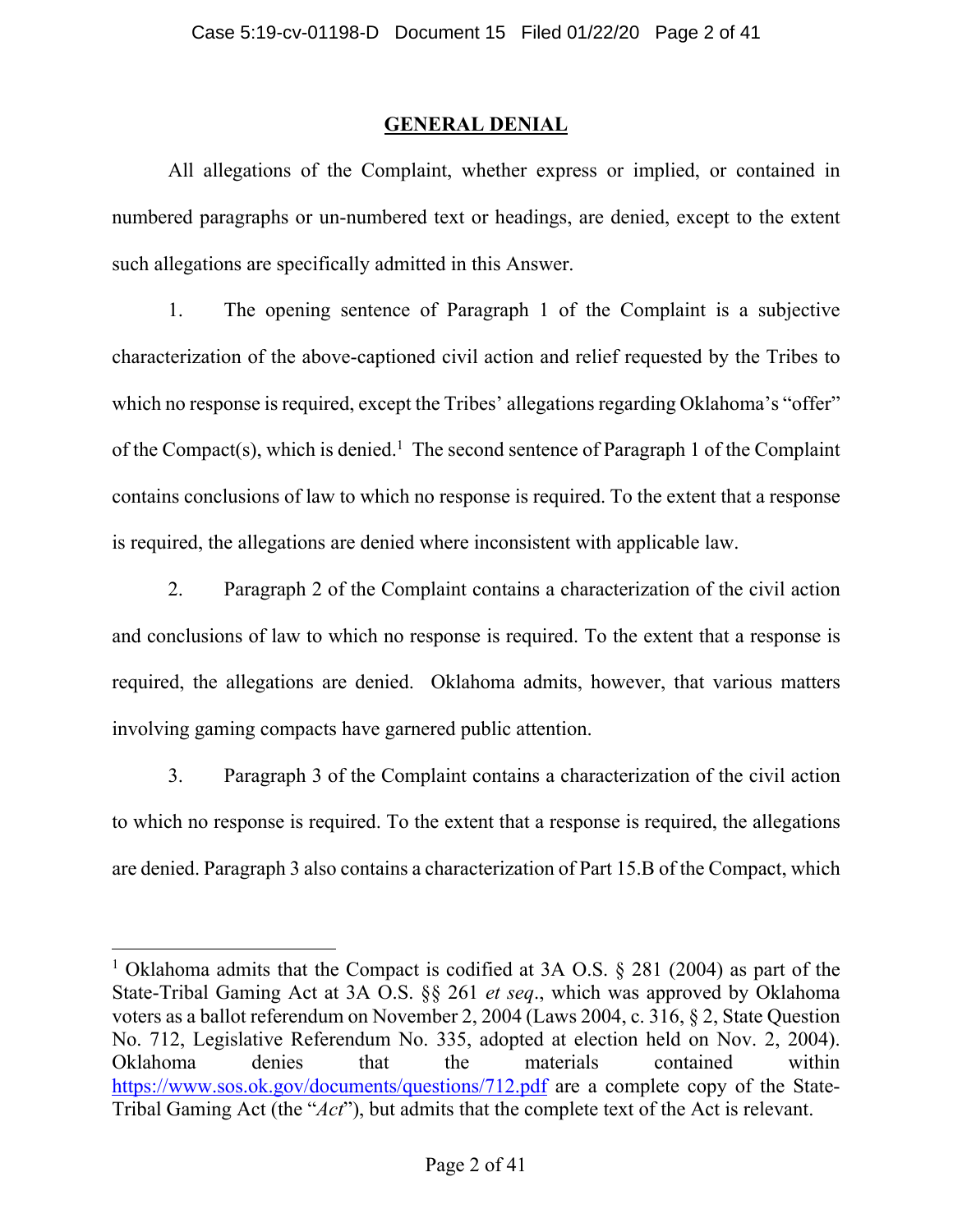# **GENERAL DENIAL**

All allegations of the Complaint, whether express or implied, or contained in numbered paragraphs or un-numbered text or headings, are denied, except to the extent such allegations are specifically admitted in this Answer.

1. The opening sentence of Paragraph 1 of the Complaint is a subjective characterization of the above-captioned civil action and relief requested by the Tribes to which no response is required, except the Tribes' allegations regarding Oklahoma's "offer" of the Compact(s), which is denied.<sup>1</sup> The second sentence of Paragraph 1 of the Complaint contains conclusions of law to which no response is required. To the extent that a response is required, the allegations are denied where inconsistent with applicable law.

2. Paragraph 2 of the Complaint contains a characterization of the civil action and conclusions of law to which no response is required. To the extent that a response is required, the allegations are denied. Oklahoma admits, however, that various matters involving gaming compacts have garnered public attention.

3. Paragraph 3 of the Complaint contains a characterization of the civil action to which no response is required. To the extent that a response is required, the allegations are denied. Paragraph 3 also contains a characterization of Part 15.B of the Compact, which

<sup>&</sup>lt;sup>1</sup> Oklahoma admits that the Compact is codified at 3A O.S. § 281 (2004) as part of the State-Tribal Gaming Act at 3A O.S. §§ 261 *et seq*., which was approved by Oklahoma voters as a ballot referendum on November 2, 2004 (Laws 2004, c. 316, § 2, State Question No. 712, Legislative Referendum No. 335, adopted at election held on Nov. 2, 2004). Oklahoma denies that the materials contained within https://www.sos.ok.gov/documents/questions/712.pdf are a complete copy of the State-Tribal Gaming Act (the "*Act*"), but admits that the complete text of the Act is relevant.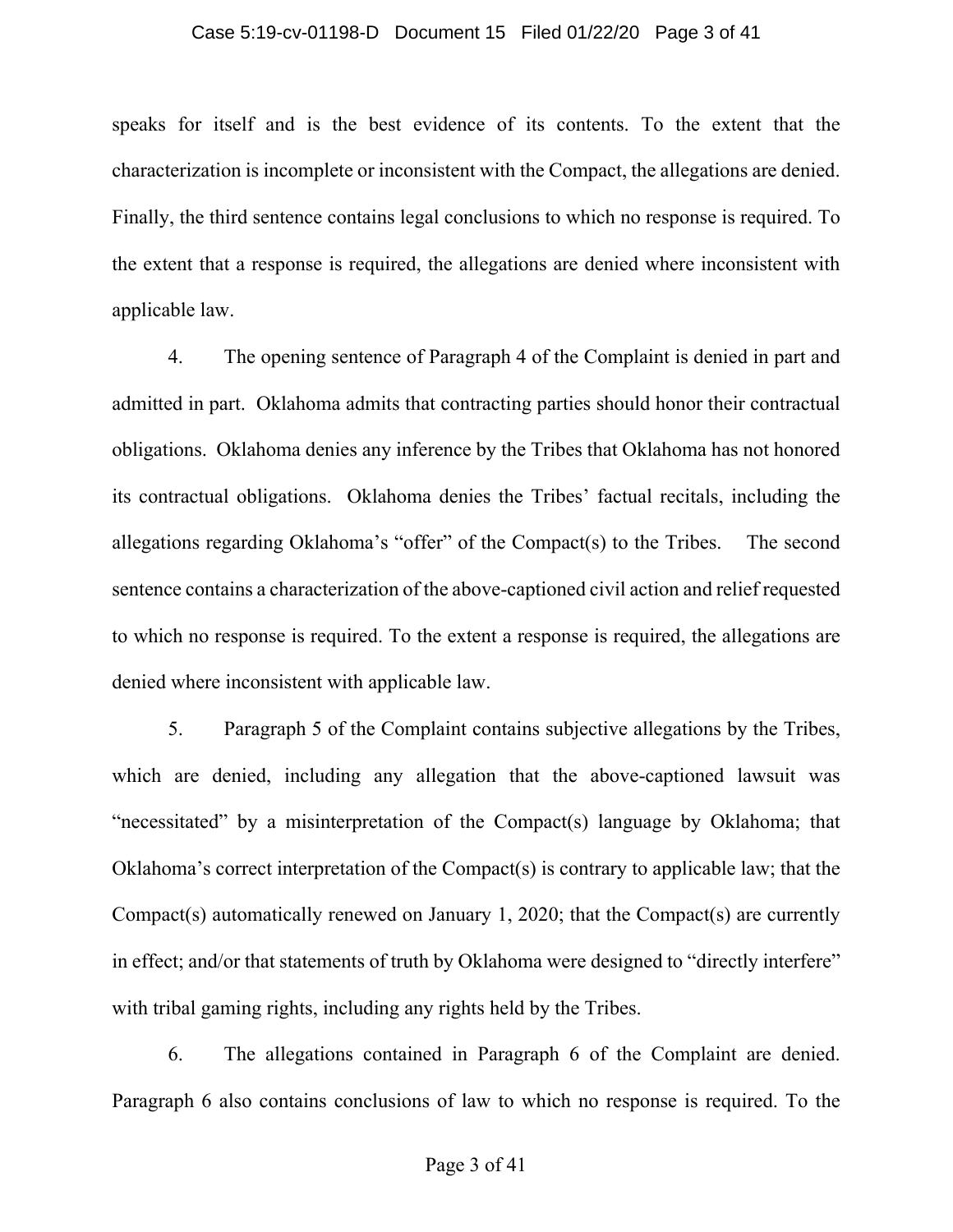### Case 5:19-cv-01198-D Document 15 Filed 01/22/20 Page 3 of 41

speaks for itself and is the best evidence of its contents. To the extent that the characterization is incomplete or inconsistent with the Compact, the allegations are denied. Finally, the third sentence contains legal conclusions to which no response is required. To the extent that a response is required, the allegations are denied where inconsistent with applicable law.

4. The opening sentence of Paragraph 4 of the Complaint is denied in part and admitted in part. Oklahoma admits that contracting parties should honor their contractual obligations. Oklahoma denies any inference by the Tribes that Oklahoma has not honored its contractual obligations. Oklahoma denies the Tribes' factual recitals, including the allegations regarding Oklahoma's "offer" of the Compact(s) to the Tribes. The second sentence contains a characterization of the above-captioned civil action and relief requested to which no response is required. To the extent a response is required, the allegations are denied where inconsistent with applicable law.

5. Paragraph 5 of the Complaint contains subjective allegations by the Tribes, which are denied, including any allegation that the above-captioned lawsuit was "necessitated" by a misinterpretation of the Compact(s) language by Oklahoma; that Oklahoma's correct interpretation of the Compact(s) is contrary to applicable law; that the Compact(s) automatically renewed on January 1, 2020; that the Compact(s) are currently in effect; and/or that statements of truth by Oklahoma were designed to "directly interfere" with tribal gaming rights, including any rights held by the Tribes.

6. The allegations contained in Paragraph 6 of the Complaint are denied. Paragraph 6 also contains conclusions of law to which no response is required. To the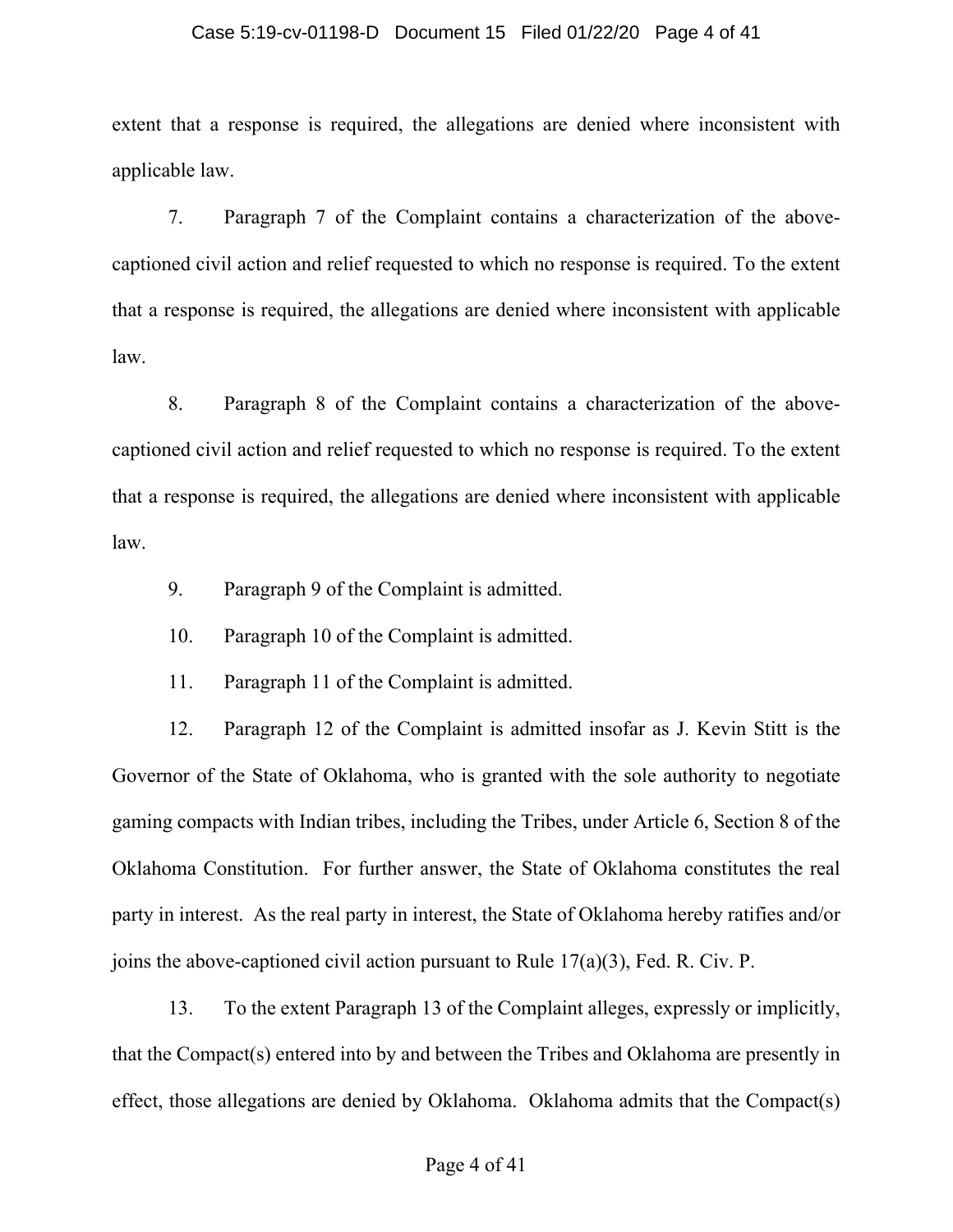### Case 5:19-cv-01198-D Document 15 Filed 01/22/20 Page 4 of 41

extent that a response is required, the allegations are denied where inconsistent with applicable law.

7. Paragraph 7 of the Complaint contains a characterization of the abovecaptioned civil action and relief requested to which no response is required. To the extent that a response is required, the allegations are denied where inconsistent with applicable law.

8. Paragraph 8 of the Complaint contains a characterization of the abovecaptioned civil action and relief requested to which no response is required. To the extent that a response is required, the allegations are denied where inconsistent with applicable law.

- 9. Paragraph 9 of the Complaint is admitted.
- 10. Paragraph 10 of the Complaint is admitted.
- 11. Paragraph 11 of the Complaint is admitted.

12. Paragraph 12 of the Complaint is admitted insofar as J. Kevin Stitt is the Governor of the State of Oklahoma, who is granted with the sole authority to negotiate gaming compacts with Indian tribes, including the Tribes, under Article 6, Section 8 of the Oklahoma Constitution. For further answer, the State of Oklahoma constitutes the real party in interest. As the real party in interest, the State of Oklahoma hereby ratifies and/or joins the above-captioned civil action pursuant to Rule 17(a)(3), Fed. R. Civ. P.

13. To the extent Paragraph 13 of the Complaint alleges, expressly or implicitly, that the Compact(s) entered into by and between the Tribes and Oklahoma are presently in effect, those allegations are denied by Oklahoma. Oklahoma admits that the Compact(s)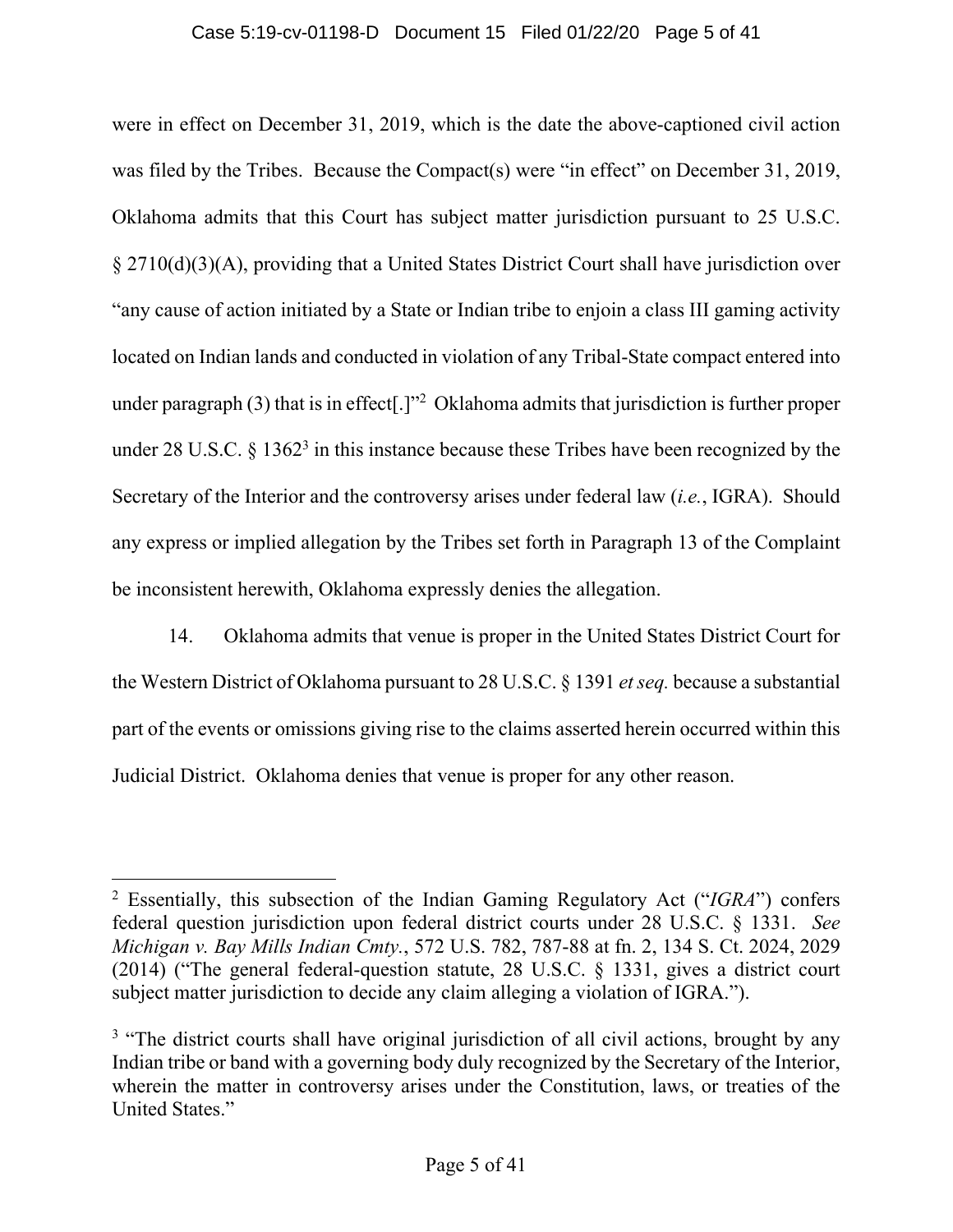### Case 5:19-cv-01198-D Document 15 Filed 01/22/20 Page 5 of 41

were in effect on December 31, 2019, which is the date the above-captioned civil action was filed by the Tribes. Because the Compact(s) were "in effect" on December 31, 2019, Oklahoma admits that this Court has subject matter jurisdiction pursuant to 25 U.S.C. § 2710(d)(3)(A), providing that a United States District Court shall have jurisdiction over "any cause of action initiated by a State or Indian tribe to enjoin a class III gaming activity located on Indian lands and conducted in violation of any Tribal-State compact entered into under paragraph  $(3)$  that is in effect[.]"<sup>2</sup> Oklahoma admits that jurisdiction is further proper under 28 U.S.C.  $\S 1362^3$  in this instance because these Tribes have been recognized by the Secretary of the Interior and the controversy arises under federal law (*i.e.*, IGRA). Should any express or implied allegation by the Tribes set forth in Paragraph 13 of the Complaint be inconsistent herewith, Oklahoma expressly denies the allegation.

14. Oklahoma admits that venue is proper in the United States District Court for the Western District of Oklahoma pursuant to 28 U.S.C. § 1391 *et seq.* because a substantial part of the events or omissions giving rise to the claims asserted herein occurred within this Judicial District. Oklahoma denies that venue is proper for any other reason.

<sup>2</sup> Essentially, this subsection of the Indian Gaming Regulatory Act ("*IGRA*") confers federal question jurisdiction upon federal district courts under 28 U.S.C. § 1331. *See Michigan v. Bay Mills Indian Cmty.*, 572 U.S. 782, 787-88 at fn. 2, 134 S. Ct. 2024, 2029 (2014) ("The general federal-question statute, 28 U.S.C. § 1331, gives a district court subject matter jurisdiction to decide any claim alleging a violation of IGRA.").

<sup>&</sup>lt;sup>3</sup> "The district courts shall have original jurisdiction of all civil actions, brought by any Indian tribe or band with a governing body duly recognized by the Secretary of the Interior, wherein the matter in controversy arises under the Constitution, laws, or treaties of the United States."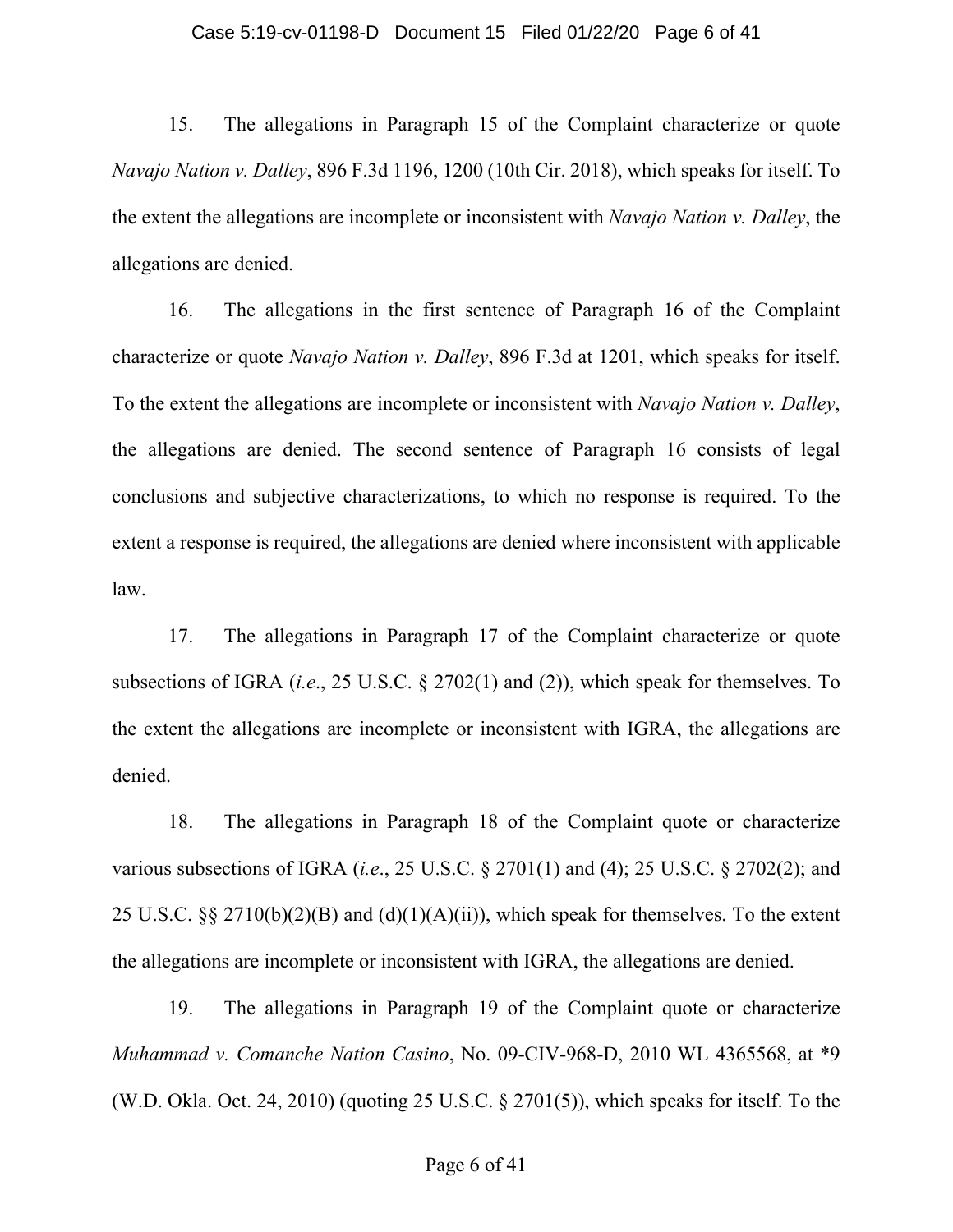### Case 5:19-cv-01198-D Document 15 Filed 01/22/20 Page 6 of 41

15. The allegations in Paragraph 15 of the Complaint characterize or quote *Navajo Nation v. Dalley*, 896 F.3d 1196, 1200 (10th Cir. 2018), which speaks for itself. To the extent the allegations are incomplete or inconsistent with *Navajo Nation v. Dalley*, the allegations are denied.

16. The allegations in the first sentence of Paragraph 16 of the Complaint characterize or quote *Navajo Nation v. Dalley*, 896 F.3d at 1201, which speaks for itself. To the extent the allegations are incomplete or inconsistent with *Navajo Nation v. Dalley*, the allegations are denied. The second sentence of Paragraph 16 consists of legal conclusions and subjective characterizations, to which no response is required. To the extent a response is required, the allegations are denied where inconsistent with applicable law.

17. The allegations in Paragraph 17 of the Complaint characterize or quote subsections of IGRA (*i.e*., 25 U.S.C. § 2702(1) and (2)), which speak for themselves. To the extent the allegations are incomplete or inconsistent with IGRA, the allegations are denied.

18. The allegations in Paragraph 18 of the Complaint quote or characterize various subsections of IGRA (*i.e*., 25 U.S.C. § 2701(1) and (4); 25 U.S.C. § 2702(2); and 25 U.S.C. §§ 2710(b)(2)(B) and (d)(1)(A)(ii)), which speak for themselves. To the extent the allegations are incomplete or inconsistent with IGRA, the allegations are denied.

19. The allegations in Paragraph 19 of the Complaint quote or characterize *Muhammad v. Comanche Nation Casino*, No. 09-CIV-968-D, 2010 WL 4365568, at \*9 (W.D. Okla. Oct. 24, 2010) (quoting 25 U.S.C. § 2701(5)), which speaks for itself. To the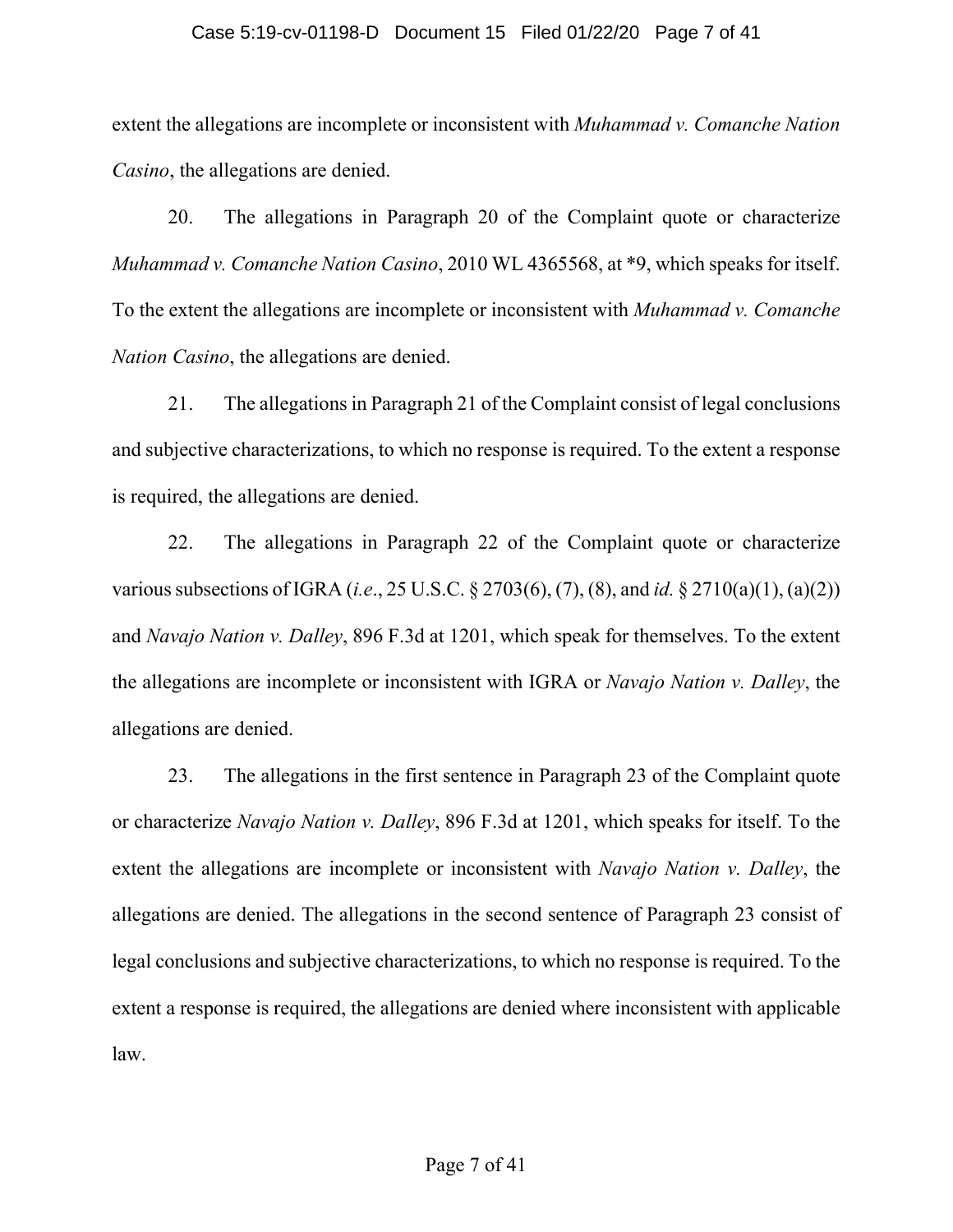### Case 5:19-cv-01198-D Document 15 Filed 01/22/20 Page 7 of 41

extent the allegations are incomplete or inconsistent with *Muhammad v. Comanche Nation Casino*, the allegations are denied.

20. The allegations in Paragraph 20 of the Complaint quote or characterize *Muhammad v. Comanche Nation Casino*, 2010 WL 4365568, at \*9, which speaks for itself. To the extent the allegations are incomplete or inconsistent with *Muhammad v. Comanche Nation Casino*, the allegations are denied.

21. The allegations in Paragraph 21 of the Complaint consist of legal conclusions and subjective characterizations, to which no response is required. To the extent a response is required, the allegations are denied.

22. The allegations in Paragraph 22 of the Complaint quote or characterize various subsections of IGRA (*i.e*., 25 U.S.C. § 2703(6), (7), (8), and *id.* § 2710(a)(1), (a)(2)) and *Navajo Nation v. Dalley*, 896 F.3d at 1201, which speak for themselves. To the extent the allegations are incomplete or inconsistent with IGRA or *Navajo Nation v. Dalley*, the allegations are denied.

23. The allegations in the first sentence in Paragraph 23 of the Complaint quote or characterize *Navajo Nation v. Dalley*, 896 F.3d at 1201, which speaks for itself. To the extent the allegations are incomplete or inconsistent with *Navajo Nation v. Dalley*, the allegations are denied. The allegations in the second sentence of Paragraph 23 consist of legal conclusions and subjective characterizations, to which no response is required. To the extent a response is required, the allegations are denied where inconsistent with applicable law.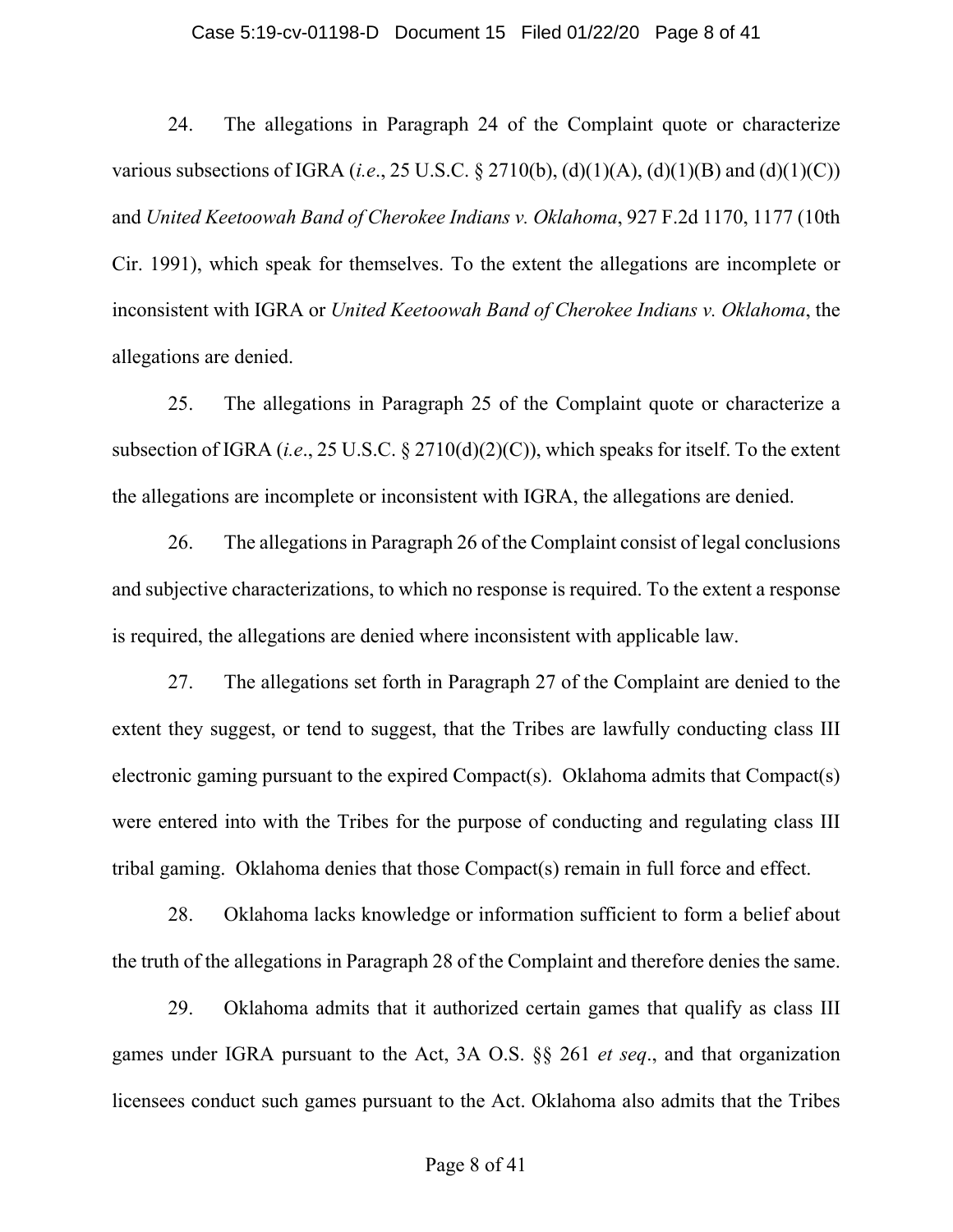### Case 5:19-cv-01198-D Document 15 Filed 01/22/20 Page 8 of 41

24. The allegations in Paragraph 24 of the Complaint quote or characterize various subsections of IGRA (*i.e.*, 25 U.S.C. § 2710(b), (d)(1)(A), (d)(1)(B) and (d)(1)(C)) and *United Keetoowah Band of Cherokee Indians v. Oklahoma*, 927 F.2d 1170, 1177 (10th Cir. 1991), which speak for themselves. To the extent the allegations are incomplete or inconsistent with IGRA or *United Keetoowah Band of Cherokee Indians v. Oklahoma*, the allegations are denied.

25. The allegations in Paragraph 25 of the Complaint quote or characterize a subsection of IGRA (*i.e*., 25 U.S.C. § 2710(d)(2)(C)), which speaks for itself. To the extent the allegations are incomplete or inconsistent with IGRA, the allegations are denied.

26. The allegations in Paragraph 26 of the Complaint consist of legal conclusions and subjective characterizations, to which no response is required. To the extent a response is required, the allegations are denied where inconsistent with applicable law.

27. The allegations set forth in Paragraph 27 of the Complaint are denied to the extent they suggest, or tend to suggest, that the Tribes are lawfully conducting class III electronic gaming pursuant to the expired Compact(s). Oklahoma admits that Compact(s) were entered into with the Tribes for the purpose of conducting and regulating class III tribal gaming. Oklahoma denies that those Compact(s) remain in full force and effect.

28. Oklahoma lacks knowledge or information sufficient to form a belief about the truth of the allegations in Paragraph 28 of the Complaint and therefore denies the same.

29. Oklahoma admits that it authorized certain games that qualify as class III games under IGRA pursuant to the Act, 3A O.S. §§ 261 *et seq*., and that organization licensees conduct such games pursuant to the Act. Oklahoma also admits that the Tribes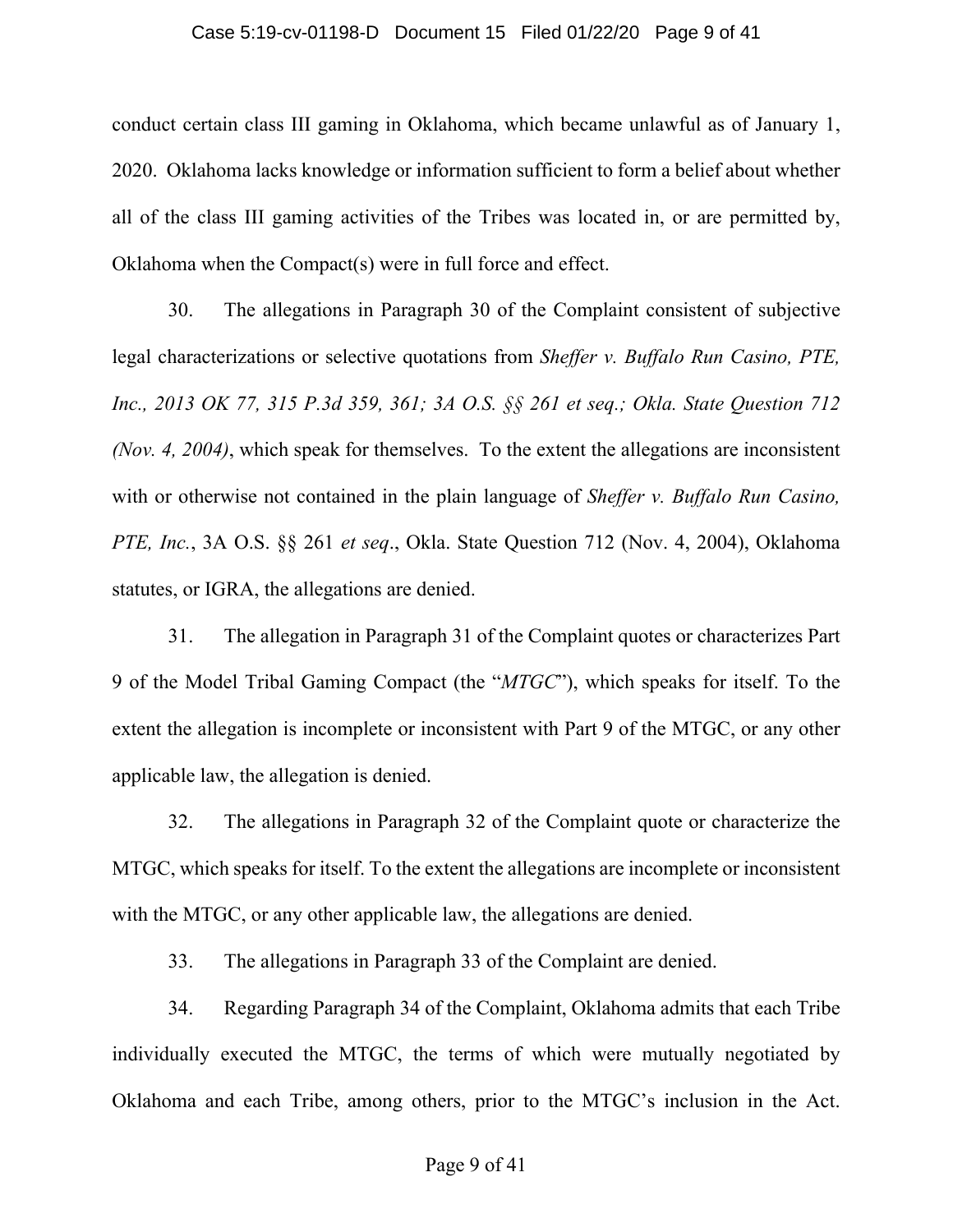### Case 5:19-cv-01198-D Document 15 Filed 01/22/20 Page 9 of 41

conduct certain class III gaming in Oklahoma, which became unlawful as of January 1, 2020. Oklahoma lacks knowledge or information sufficient to form a belief about whether all of the class III gaming activities of the Tribes was located in, or are permitted by, Oklahoma when the Compact(s) were in full force and effect.

30. The allegations in Paragraph 30 of the Complaint consistent of subjective legal characterizations or selective quotations from *Sheffer v. Buffalo Run Casino, PTE, Inc., 2013 OK 77, 315 P.3d 359, 361; 3A O.S. §§ 261 et seq.; Okla. State Question 712 (Nov. 4, 2004)*, which speak for themselves. To the extent the allegations are inconsistent with or otherwise not contained in the plain language of *Sheffer v. Buffalo Run Casino, PTE, Inc.*, 3A O.S. §§ 261 *et seq*., Okla. State Question 712 (Nov. 4, 2004), Oklahoma statutes, or IGRA, the allegations are denied.

31. The allegation in Paragraph 31 of the Complaint quotes or characterizes Part 9 of the Model Tribal Gaming Compact (the "*MTGC*"), which speaks for itself. To the extent the allegation is incomplete or inconsistent with Part 9 of the MTGC, or any other applicable law, the allegation is denied.

32. The allegations in Paragraph 32 of the Complaint quote or characterize the MTGC, which speaks for itself. To the extent the allegations are incomplete or inconsistent with the MTGC, or any other applicable law, the allegations are denied.

33. The allegations in Paragraph 33 of the Complaint are denied.

34. Regarding Paragraph 34 of the Complaint, Oklahoma admits that each Tribe individually executed the MTGC, the terms of which were mutually negotiated by Oklahoma and each Tribe, among others, prior to the MTGC's inclusion in the Act.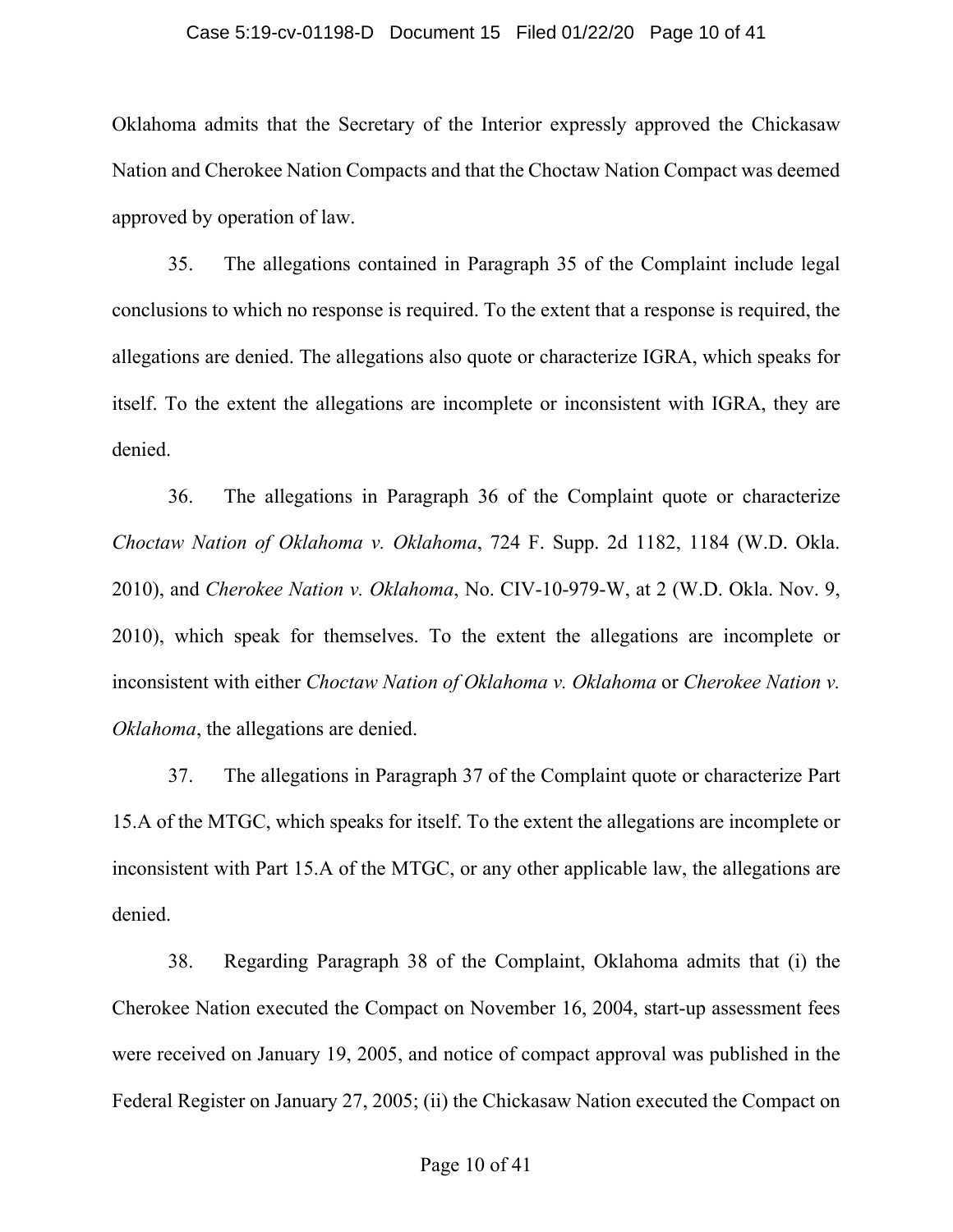### Case 5:19-cv-01198-D Document 15 Filed 01/22/20 Page 10 of 41

Oklahoma admits that the Secretary of the Interior expressly approved the Chickasaw Nation and Cherokee Nation Compacts and that the Choctaw Nation Compact was deemed approved by operation of law.

35. The allegations contained in Paragraph 35 of the Complaint include legal conclusions to which no response is required. To the extent that a response is required, the allegations are denied. The allegations also quote or characterize IGRA, which speaks for itself. To the extent the allegations are incomplete or inconsistent with IGRA, they are denied.

36. The allegations in Paragraph 36 of the Complaint quote or characterize *Choctaw Nation of Oklahoma v. Oklahoma*, 724 F. Supp. 2d 1182, 1184 (W.D. Okla. 2010), and *Cherokee Nation v. Oklahoma*, No. CIV-10-979-W, at 2 (W.D. Okla. Nov. 9, 2010), which speak for themselves. To the extent the allegations are incomplete or inconsistent with either *Choctaw Nation of Oklahoma v. Oklahoma* or *Cherokee Nation v. Oklahoma*, the allegations are denied.

37. The allegations in Paragraph 37 of the Complaint quote or characterize Part 15.A of the MTGC, which speaks for itself. To the extent the allegations are incomplete or inconsistent with Part 15.A of the MTGC, or any other applicable law, the allegations are denied.

38. Regarding Paragraph 38 of the Complaint, Oklahoma admits that (i) the Cherokee Nation executed the Compact on November 16, 2004, start-up assessment fees were received on January 19, 2005, and notice of compact approval was published in the Federal Register on January 27, 2005; (ii) the Chickasaw Nation executed the Compact on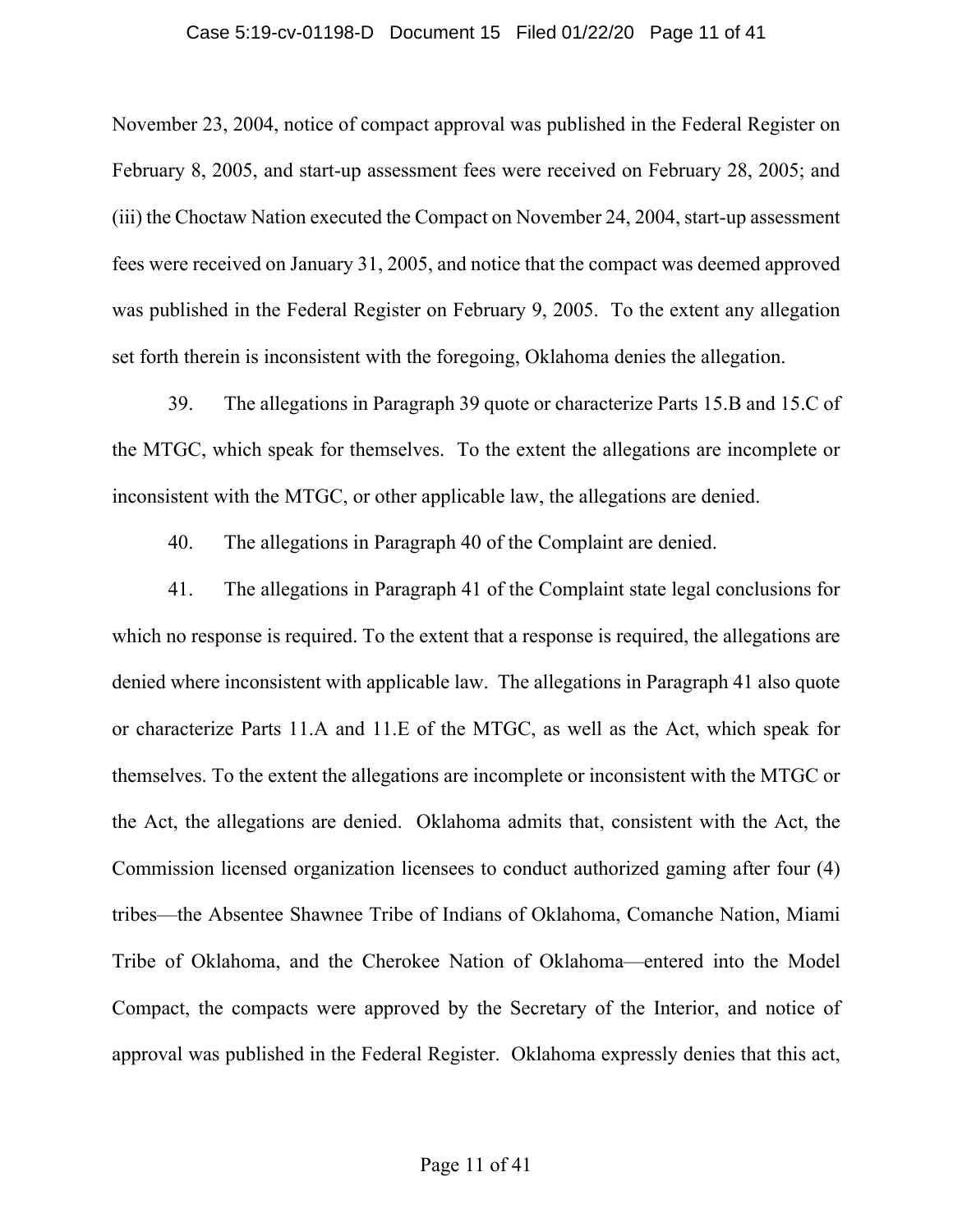### Case 5:19-cv-01198-D Document 15 Filed 01/22/20 Page 11 of 41

November 23, 2004, notice of compact approval was published in the Federal Register on February 8, 2005, and start-up assessment fees were received on February 28, 2005; and (iii) the Choctaw Nation executed the Compact on November 24, 2004, start-up assessment fees were received on January 31, 2005, and notice that the compact was deemed approved was published in the Federal Register on February 9, 2005. To the extent any allegation set forth therein is inconsistent with the foregoing, Oklahoma denies the allegation.

39. The allegations in Paragraph 39 quote or characterize Parts 15.B and 15.C of the MTGC, which speak for themselves. To the extent the allegations are incomplete or inconsistent with the MTGC, or other applicable law, the allegations are denied.

40. The allegations in Paragraph 40 of the Complaint are denied.

41. The allegations in Paragraph 41 of the Complaint state legal conclusions for which no response is required. To the extent that a response is required, the allegations are denied where inconsistent with applicable law. The allegations in Paragraph 41 also quote or characterize Parts 11.A and 11.E of the MTGC, as well as the Act, which speak for themselves. To the extent the allegations are incomplete or inconsistent with the MTGC or the Act, the allegations are denied. Oklahoma admits that, consistent with the Act, the Commission licensed organization licensees to conduct authorized gaming after four (4) tribes—the Absentee Shawnee Tribe of Indians of Oklahoma, Comanche Nation, Miami Tribe of Oklahoma, and the Cherokee Nation of Oklahoma—entered into the Model Compact, the compacts were approved by the Secretary of the Interior, and notice of approval was published in the Federal Register. Oklahoma expressly denies that this act,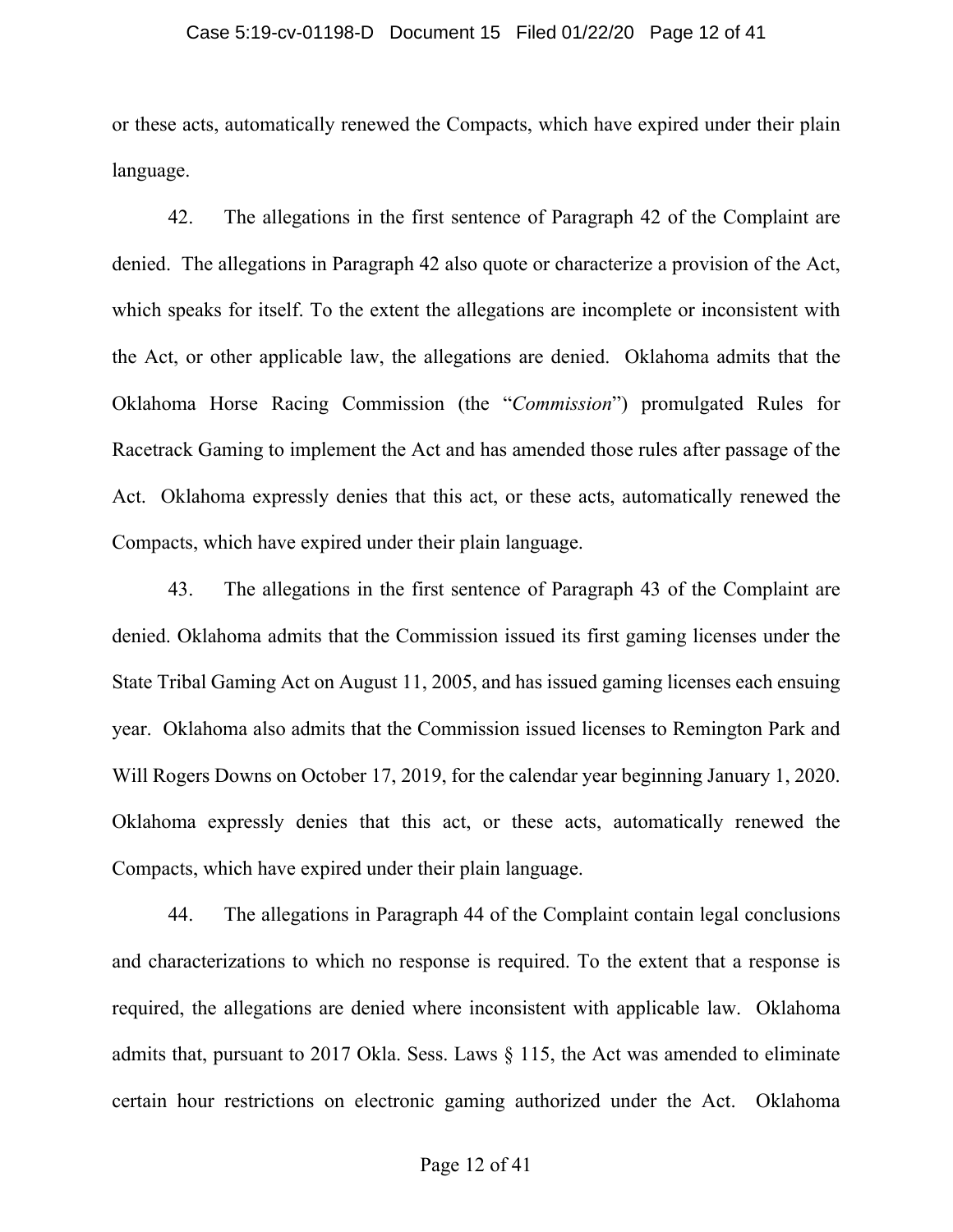### Case 5:19-cv-01198-D Document 15 Filed 01/22/20 Page 12 of 41

or these acts, automatically renewed the Compacts, which have expired under their plain language.

42. The allegations in the first sentence of Paragraph 42 of the Complaint are denied. The allegations in Paragraph 42 also quote or characterize a provision of the Act, which speaks for itself. To the extent the allegations are incomplete or inconsistent with the Act, or other applicable law, the allegations are denied. Oklahoma admits that the Oklahoma Horse Racing Commission (the "*Commission*") promulgated Rules for Racetrack Gaming to implement the Act and has amended those rules after passage of the Act. Oklahoma expressly denies that this act, or these acts, automatically renewed the Compacts, which have expired under their plain language.

43. The allegations in the first sentence of Paragraph 43 of the Complaint are denied. Oklahoma admits that the Commission issued its first gaming licenses under the State Tribal Gaming Act on August 11, 2005, and has issued gaming licenses each ensuing year. Oklahoma also admits that the Commission issued licenses to Remington Park and Will Rogers Downs on October 17, 2019, for the calendar year beginning January 1, 2020. Oklahoma expressly denies that this act, or these acts, automatically renewed the Compacts, which have expired under their plain language.

44. The allegations in Paragraph 44 of the Complaint contain legal conclusions and characterizations to which no response is required. To the extent that a response is required, the allegations are denied where inconsistent with applicable law. Oklahoma admits that, pursuant to 2017 Okla. Sess. Laws § 115, the Act was amended to eliminate certain hour restrictions on electronic gaming authorized under the Act. Oklahoma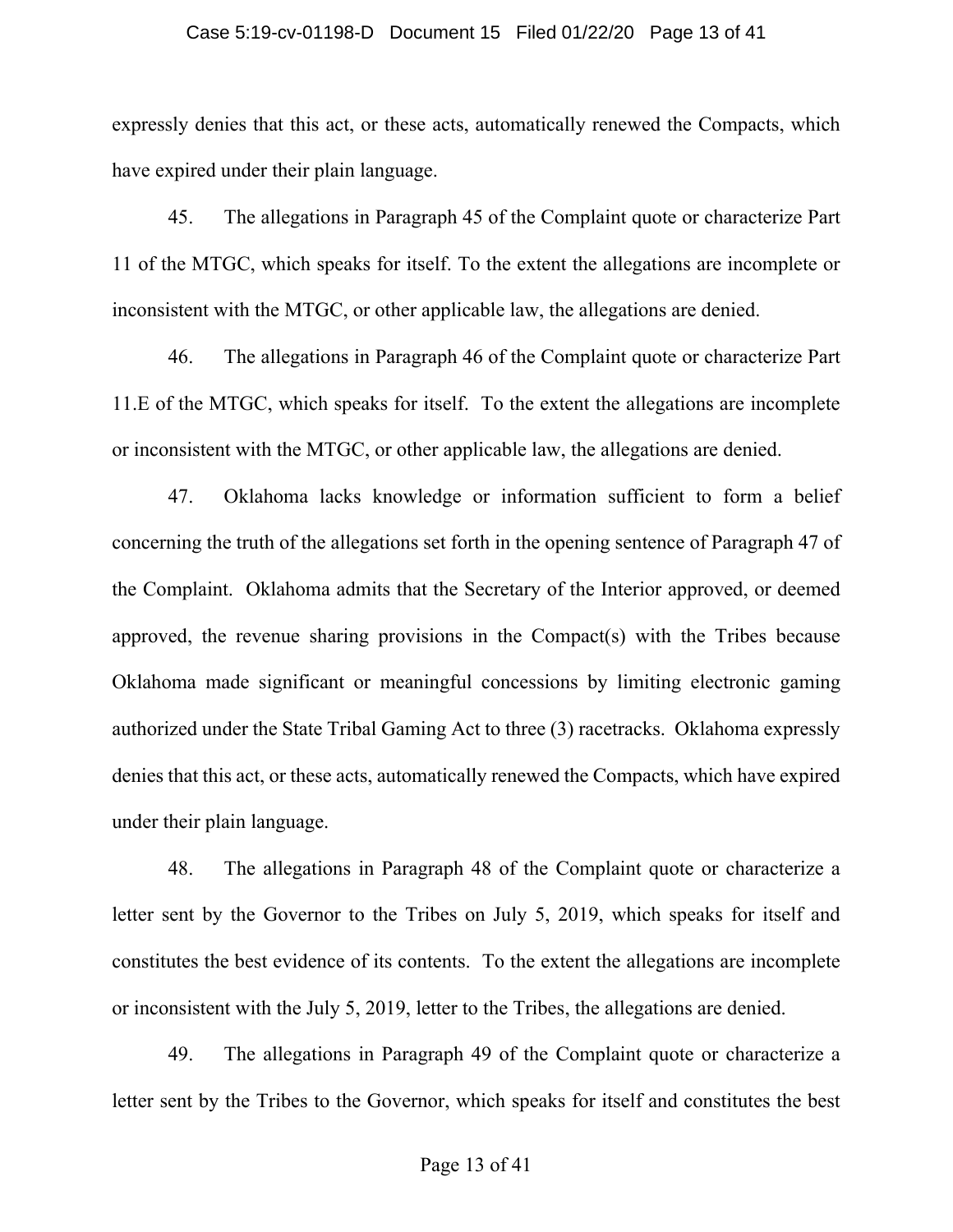### Case 5:19-cv-01198-D Document 15 Filed 01/22/20 Page 13 of 41

expressly denies that this act, or these acts, automatically renewed the Compacts, which have expired under their plain language.

45. The allegations in Paragraph 45 of the Complaint quote or characterize Part 11 of the MTGC, which speaks for itself. To the extent the allegations are incomplete or inconsistent with the MTGC, or other applicable law, the allegations are denied.

46. The allegations in Paragraph 46 of the Complaint quote or characterize Part 11.E of the MTGC, which speaks for itself. To the extent the allegations are incomplete or inconsistent with the MTGC, or other applicable law, the allegations are denied.

47. Oklahoma lacks knowledge or information sufficient to form a belief concerning the truth of the allegations set forth in the opening sentence of Paragraph 47 of the Complaint. Oklahoma admits that the Secretary of the Interior approved, or deemed approved, the revenue sharing provisions in the Compact(s) with the Tribes because Oklahoma made significant or meaningful concessions by limiting electronic gaming authorized under the State Tribal Gaming Act to three (3) racetracks. Oklahoma expressly denies that this act, or these acts, automatically renewed the Compacts, which have expired under their plain language.

48. The allegations in Paragraph 48 of the Complaint quote or characterize a letter sent by the Governor to the Tribes on July 5, 2019, which speaks for itself and constitutes the best evidence of its contents. To the extent the allegations are incomplete or inconsistent with the July 5, 2019, letter to the Tribes, the allegations are denied.

49. The allegations in Paragraph 49 of the Complaint quote or characterize a letter sent by the Tribes to the Governor, which speaks for itself and constitutes the best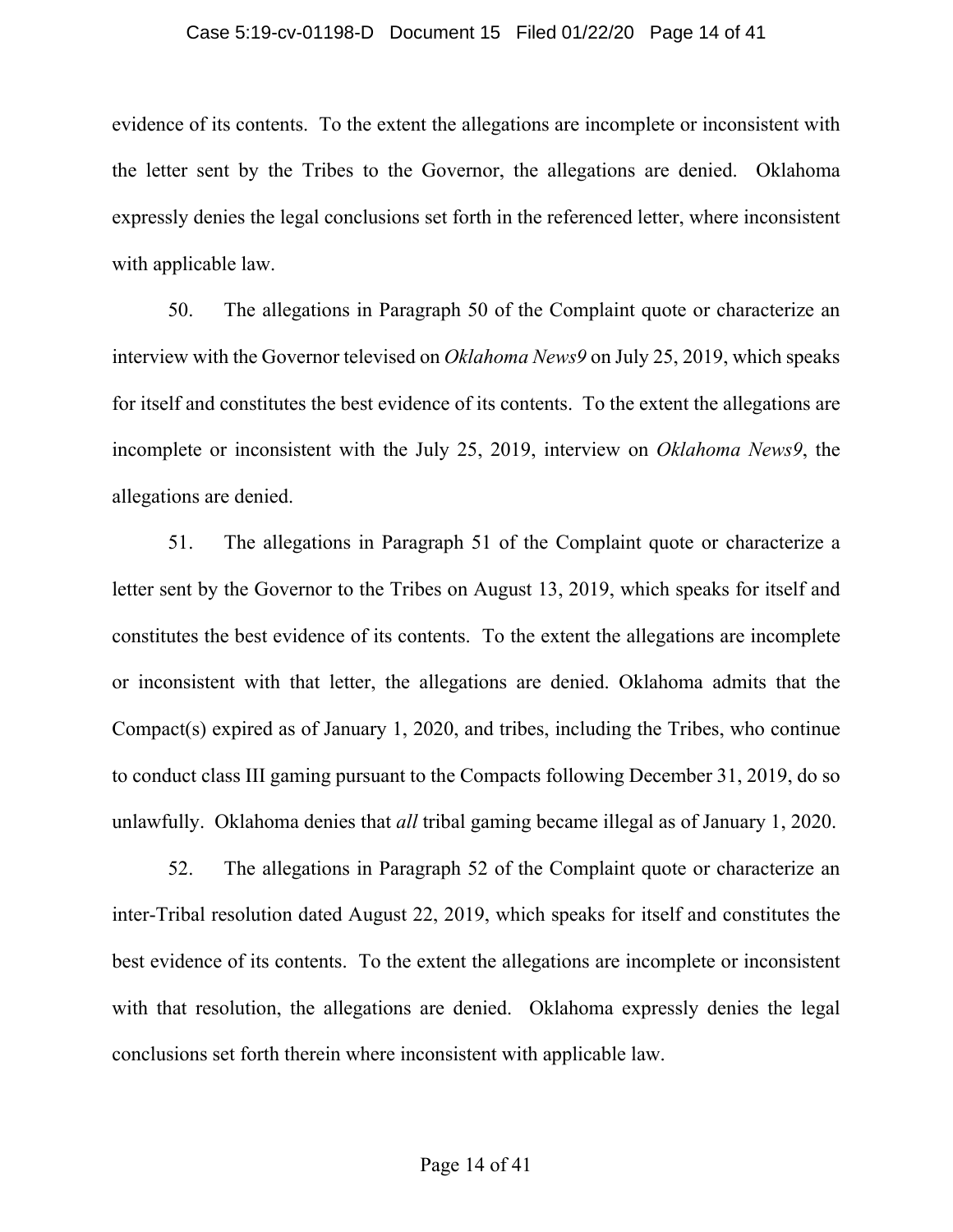### Case 5:19-cv-01198-D Document 15 Filed 01/22/20 Page 14 of 41

evidence of its contents. To the extent the allegations are incomplete or inconsistent with the letter sent by the Tribes to the Governor, the allegations are denied. Oklahoma expressly denies the legal conclusions set forth in the referenced letter, where inconsistent with applicable law.

50. The allegations in Paragraph 50 of the Complaint quote or characterize an interview with the Governor televised on *Oklahoma News9* on July 25, 2019, which speaks for itself and constitutes the best evidence of its contents. To the extent the allegations are incomplete or inconsistent with the July 25, 2019, interview on *Oklahoma News9*, the allegations are denied.

51. The allegations in Paragraph 51 of the Complaint quote or characterize a letter sent by the Governor to the Tribes on August 13, 2019, which speaks for itself and constitutes the best evidence of its contents. To the extent the allegations are incomplete or inconsistent with that letter, the allegations are denied. Oklahoma admits that the Compact(s) expired as of January 1, 2020, and tribes, including the Tribes, who continue to conduct class III gaming pursuant to the Compacts following December 31, 2019, do so unlawfully. Oklahoma denies that *all* tribal gaming became illegal as of January 1, 2020.

52. The allegations in Paragraph 52 of the Complaint quote or characterize an inter-Tribal resolution dated August 22, 2019, which speaks for itself and constitutes the best evidence of its contents. To the extent the allegations are incomplete or inconsistent with that resolution, the allegations are denied. Oklahoma expressly denies the legal conclusions set forth therein where inconsistent with applicable law.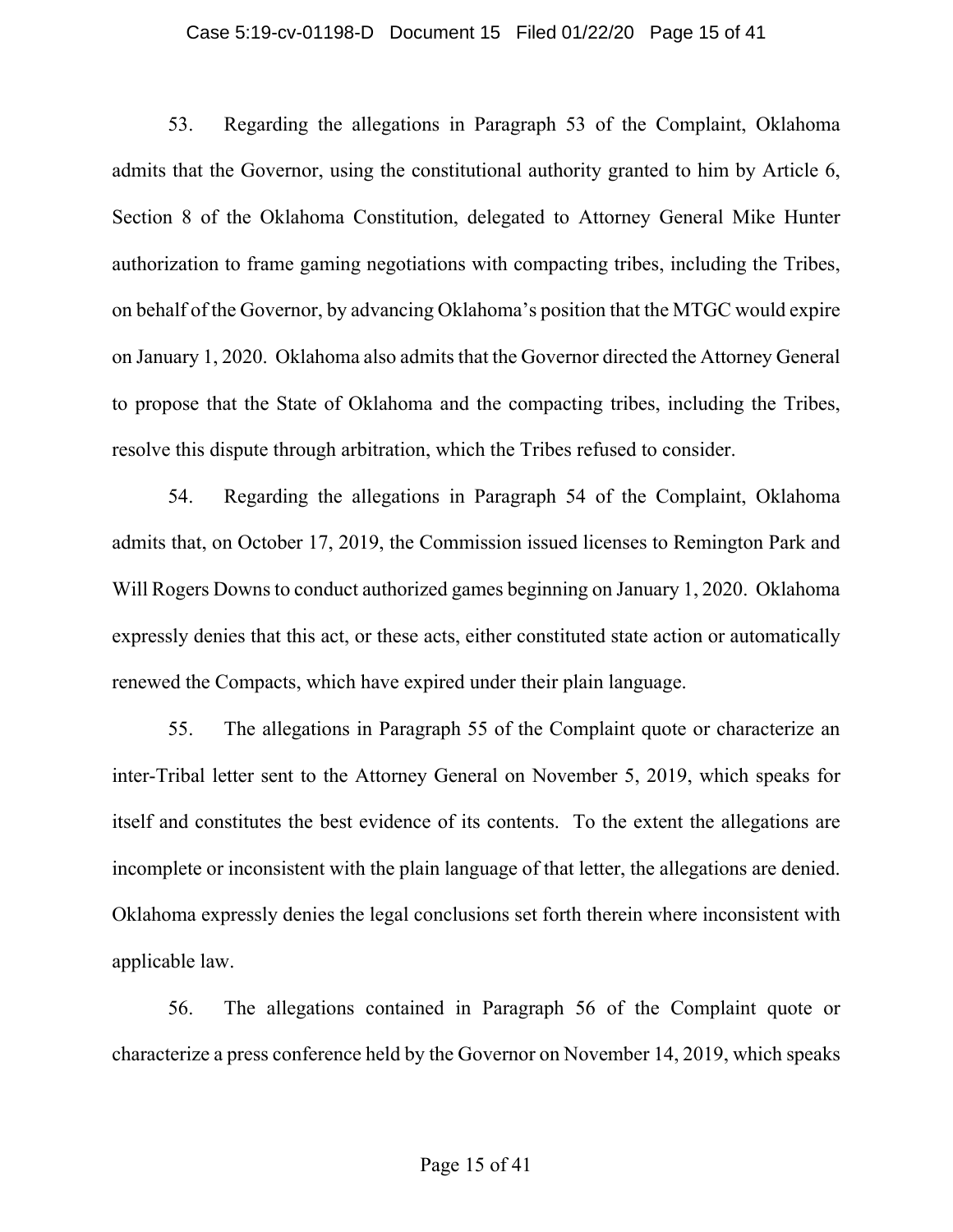### Case 5:19-cv-01198-D Document 15 Filed 01/22/20 Page 15 of 41

53. Regarding the allegations in Paragraph 53 of the Complaint, Oklahoma admits that the Governor, using the constitutional authority granted to him by Article 6, Section 8 of the Oklahoma Constitution, delegated to Attorney General Mike Hunter authorization to frame gaming negotiations with compacting tribes, including the Tribes, on behalf of the Governor, by advancing Oklahoma's position that the MTGC would expire on January 1, 2020. Oklahoma also admits that the Governor directed the Attorney General to propose that the State of Oklahoma and the compacting tribes, including the Tribes, resolve this dispute through arbitration, which the Tribes refused to consider.

54. Regarding the allegations in Paragraph 54 of the Complaint, Oklahoma admits that, on October 17, 2019, the Commission issued licenses to Remington Park and Will Rogers Downs to conduct authorized games beginning on January 1, 2020. Oklahoma expressly denies that this act, or these acts, either constituted state action or automatically renewed the Compacts, which have expired under their plain language.

55. The allegations in Paragraph 55 of the Complaint quote or characterize an inter-Tribal letter sent to the Attorney General on November 5, 2019, which speaks for itself and constitutes the best evidence of its contents. To the extent the allegations are incomplete or inconsistent with the plain language of that letter, the allegations are denied. Oklahoma expressly denies the legal conclusions set forth therein where inconsistent with applicable law.

56. The allegations contained in Paragraph 56 of the Complaint quote or characterize a press conference held by the Governor on November 14, 2019, which speaks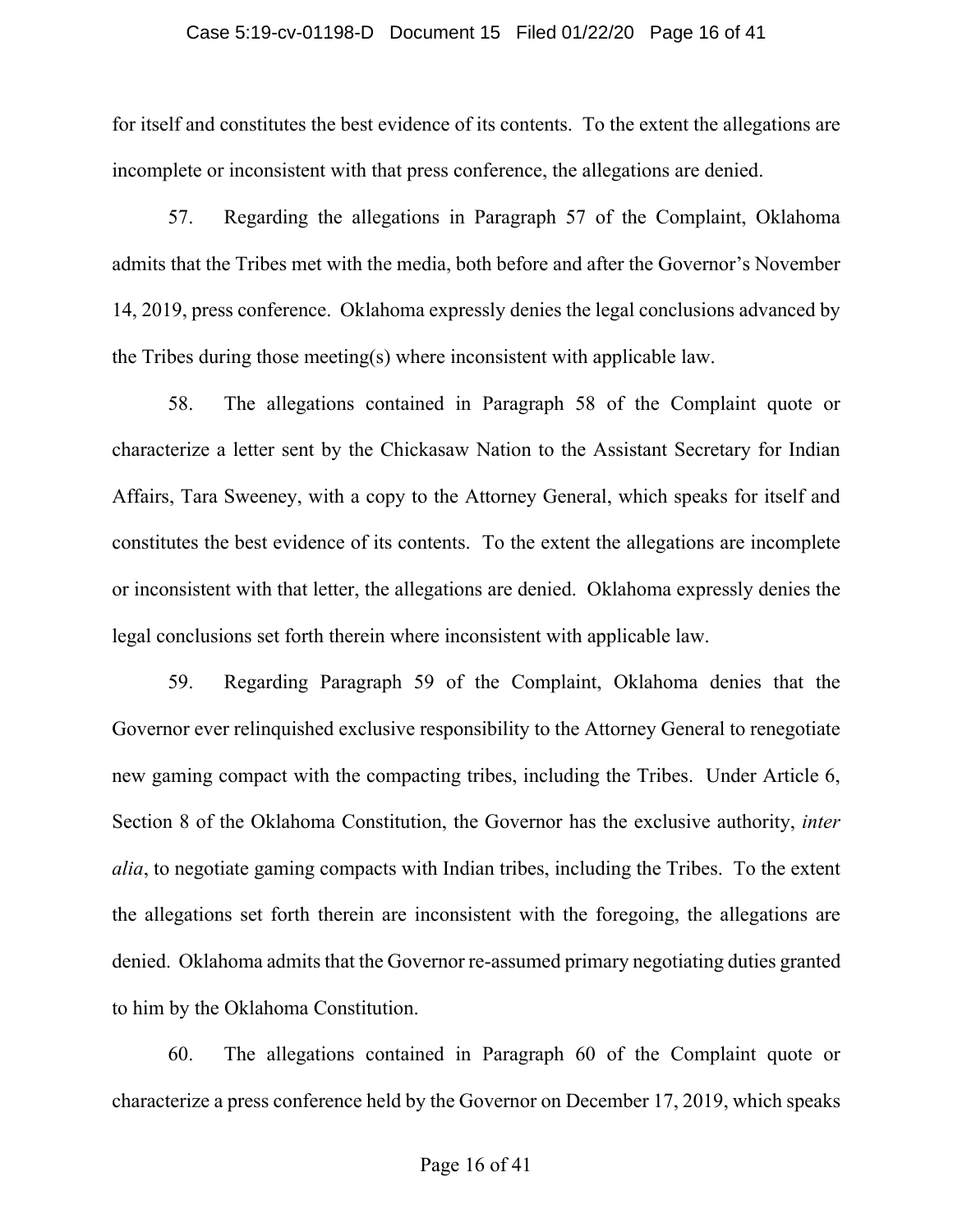### Case 5:19-cv-01198-D Document 15 Filed 01/22/20 Page 16 of 41

for itself and constitutes the best evidence of its contents. To the extent the allegations are incomplete or inconsistent with that press conference, the allegations are denied.

57. Regarding the allegations in Paragraph 57 of the Complaint, Oklahoma admits that the Tribes met with the media, both before and after the Governor's November 14, 2019, press conference. Oklahoma expressly denies the legal conclusions advanced by the Tribes during those meeting(s) where inconsistent with applicable law.

58. The allegations contained in Paragraph 58 of the Complaint quote or characterize a letter sent by the Chickasaw Nation to the Assistant Secretary for Indian Affairs, Tara Sweeney, with a copy to the Attorney General, which speaks for itself and constitutes the best evidence of its contents. To the extent the allegations are incomplete or inconsistent with that letter, the allegations are denied. Oklahoma expressly denies the legal conclusions set forth therein where inconsistent with applicable law.

59. Regarding Paragraph 59 of the Complaint, Oklahoma denies that the Governor ever relinquished exclusive responsibility to the Attorney General to renegotiate new gaming compact with the compacting tribes, including the Tribes. Under Article 6, Section 8 of the Oklahoma Constitution, the Governor has the exclusive authority, *inter alia*, to negotiate gaming compacts with Indian tribes, including the Tribes. To the extent the allegations set forth therein are inconsistent with the foregoing, the allegations are denied. Oklahoma admits that the Governor re-assumed primary negotiating duties granted to him by the Oklahoma Constitution.

60. The allegations contained in Paragraph 60 of the Complaint quote or characterize a press conference held by the Governor on December 17, 2019, which speaks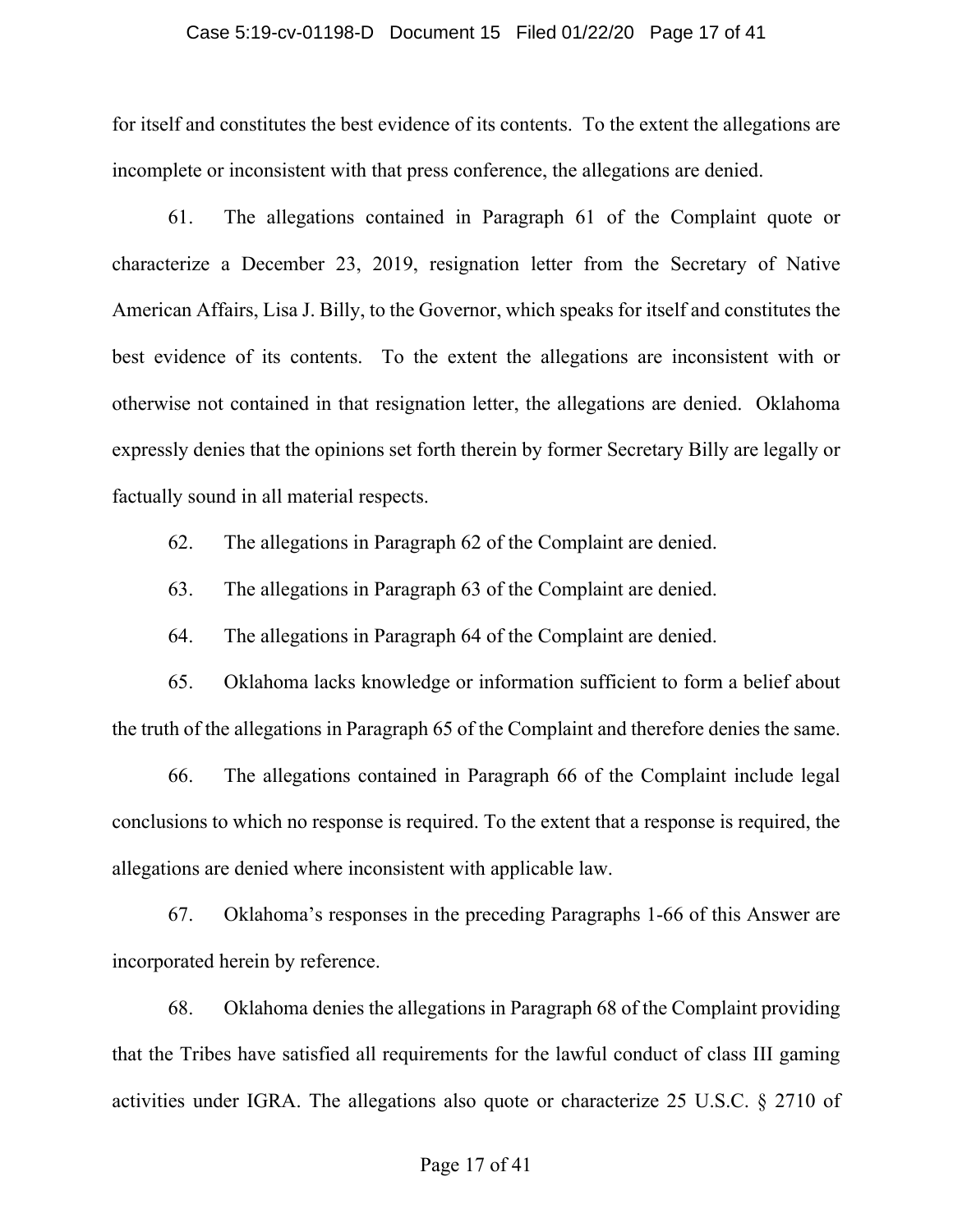### Case 5:19-cv-01198-D Document 15 Filed 01/22/20 Page 17 of 41

for itself and constitutes the best evidence of its contents. To the extent the allegations are incomplete or inconsistent with that press conference, the allegations are denied.

61. The allegations contained in Paragraph 61 of the Complaint quote or characterize a December 23, 2019, resignation letter from the Secretary of Native American Affairs, Lisa J. Billy, to the Governor, which speaks for itself and constitutes the best evidence of its contents. To the extent the allegations are inconsistent with or otherwise not contained in that resignation letter, the allegations are denied. Oklahoma expressly denies that the opinions set forth therein by former Secretary Billy are legally or factually sound in all material respects.

62. The allegations in Paragraph 62 of the Complaint are denied.

63. The allegations in Paragraph 63 of the Complaint are denied.

64. The allegations in Paragraph 64 of the Complaint are denied.

65. Oklahoma lacks knowledge or information sufficient to form a belief about the truth of the allegations in Paragraph 65 of the Complaint and therefore denies the same.

66. The allegations contained in Paragraph 66 of the Complaint include legal conclusions to which no response is required. To the extent that a response is required, the allegations are denied where inconsistent with applicable law.

67. Oklahoma's responses in the preceding Paragraphs 1-66 of this Answer are incorporated herein by reference.

68. Oklahoma denies the allegations in Paragraph 68 of the Complaint providing that the Tribes have satisfied all requirements for the lawful conduct of class III gaming activities under IGRA. The allegations also quote or characterize 25 U.S.C. § 2710 of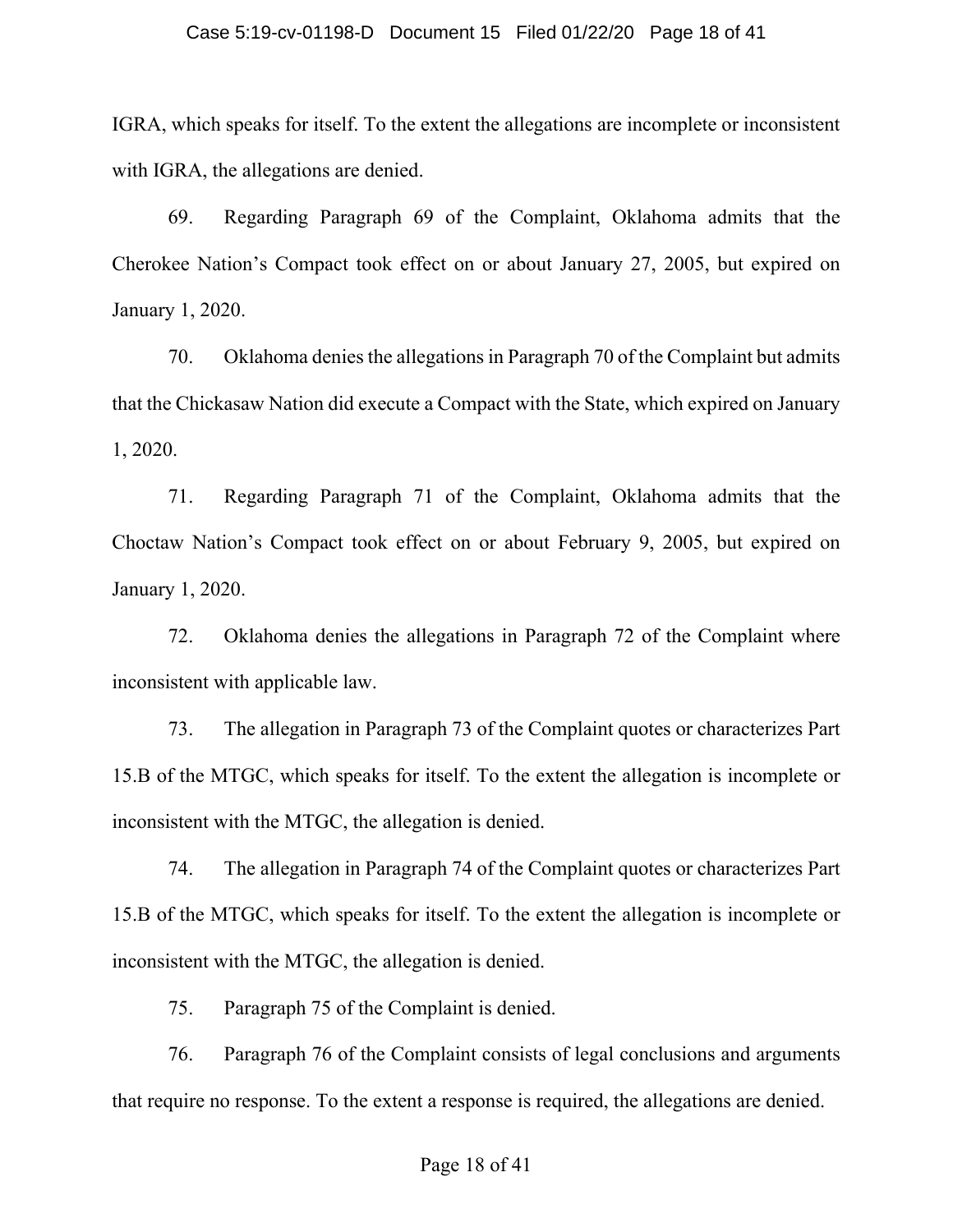### Case 5:19-cv-01198-D Document 15 Filed 01/22/20 Page 18 of 41

IGRA, which speaks for itself. To the extent the allegations are incomplete or inconsistent with IGRA, the allegations are denied.

69. Regarding Paragraph 69 of the Complaint, Oklahoma admits that the Cherokee Nation's Compact took effect on or about January 27, 2005, but expired on January 1, 2020.

70. Oklahoma denies the allegations in Paragraph 70 of the Complaint but admits that the Chickasaw Nation did execute a Compact with the State, which expired on January 1, 2020.

71. Regarding Paragraph 71 of the Complaint, Oklahoma admits that the Choctaw Nation's Compact took effect on or about February 9, 2005, but expired on January 1, 2020.

72. Oklahoma denies the allegations in Paragraph 72 of the Complaint where inconsistent with applicable law.

73. The allegation in Paragraph 73 of the Complaint quotes or characterizes Part 15.B of the MTGC, which speaks for itself. To the extent the allegation is incomplete or inconsistent with the MTGC, the allegation is denied.

74. The allegation in Paragraph 74 of the Complaint quotes or characterizes Part 15.B of the MTGC, which speaks for itself. To the extent the allegation is incomplete or inconsistent with the MTGC, the allegation is denied.

75. Paragraph 75 of the Complaint is denied.

76. Paragraph 76 of the Complaint consists of legal conclusions and arguments that require no response. To the extent a response is required, the allegations are denied.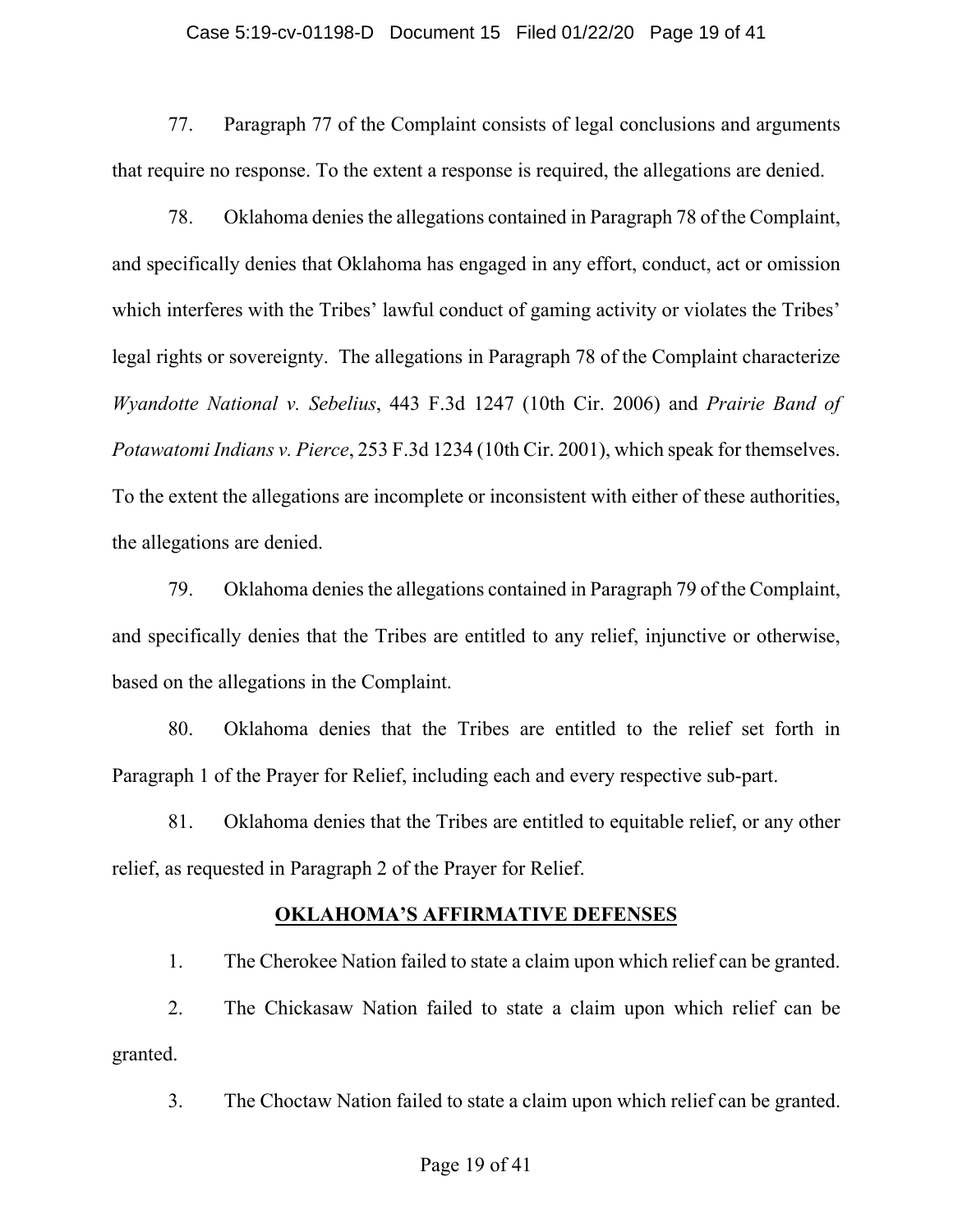### Case 5:19-cv-01198-D Document 15 Filed 01/22/20 Page 19 of 41

77. Paragraph 77 of the Complaint consists of legal conclusions and arguments that require no response. To the extent a response is required, the allegations are denied.

78. Oklahoma denies the allegations contained in Paragraph 78 of the Complaint, and specifically denies that Oklahoma has engaged in any effort, conduct, act or omission which interferes with the Tribes' lawful conduct of gaming activity or violates the Tribes' legal rights or sovereignty. The allegations in Paragraph 78 of the Complaint characterize *Wyandotte National v. Sebelius*, 443 F.3d 1247 (10th Cir. 2006) and *Prairie Band of Potawatomi Indians v. Pierce*, 253 F.3d 1234 (10th Cir. 2001), which speak for themselves. To the extent the allegations are incomplete or inconsistent with either of these authorities, the allegations are denied.

79. Oklahoma denies the allegations contained in Paragraph 79 of the Complaint, and specifically denies that the Tribes are entitled to any relief, injunctive or otherwise, based on the allegations in the Complaint.

80. Oklahoma denies that the Tribes are entitled to the relief set forth in Paragraph 1 of the Prayer for Relief, including each and every respective sub-part.

81. Oklahoma denies that the Tribes are entitled to equitable relief, or any other relief, as requested in Paragraph 2 of the Prayer for Relief.

### **OKLAHOMA'S AFFIRMATIVE DEFENSES**

1. The Cherokee Nation failed to state a claim upon which relief can be granted.

2. The Chickasaw Nation failed to state a claim upon which relief can be granted.

3. The Choctaw Nation failed to state a claim upon which relief can be granted.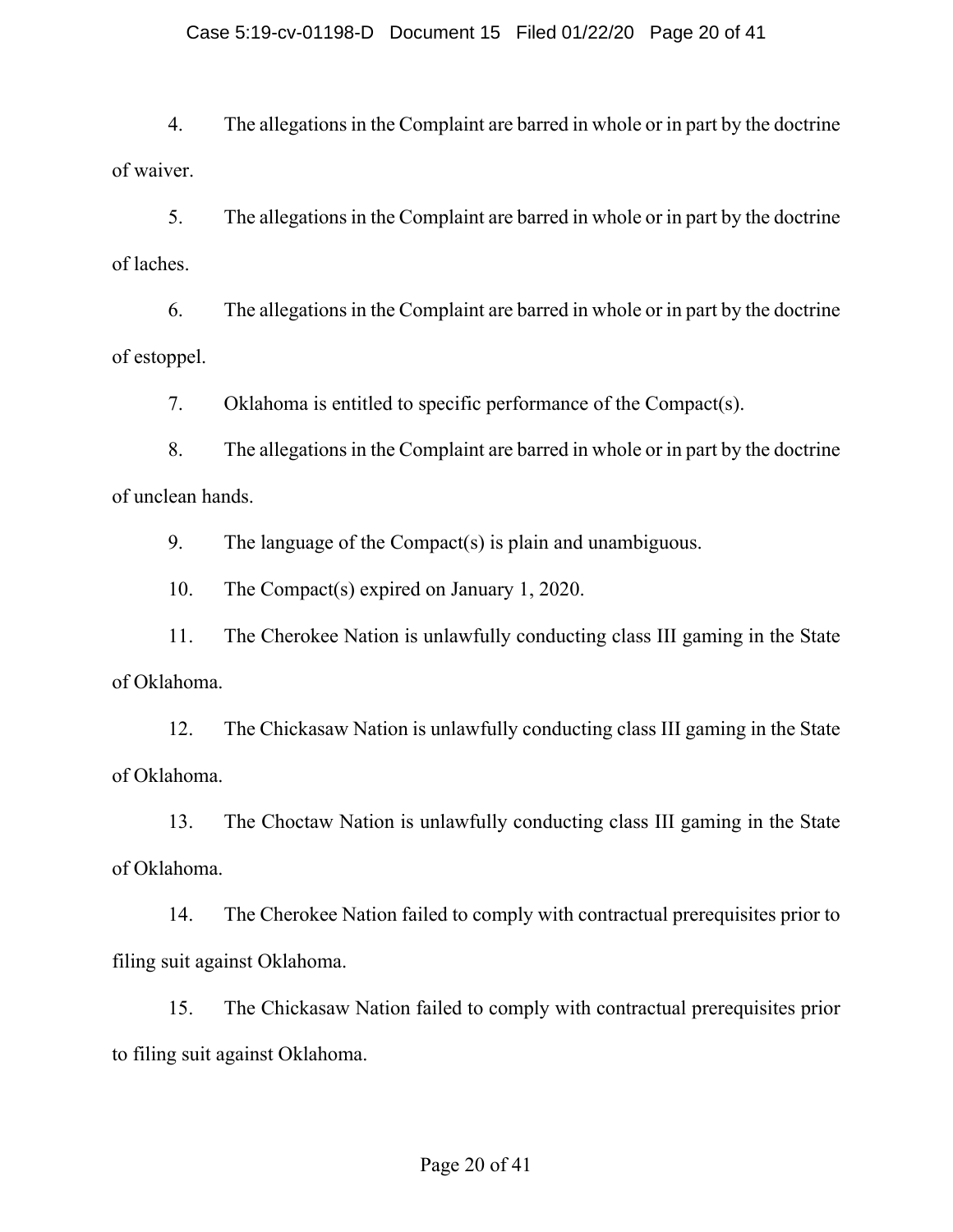## Case 5:19-cv-01198-D Document 15 Filed 01/22/20 Page 20 of 41

4. The allegations in the Complaint are barred in whole or in part by the doctrine of waiver.

5. The allegations in the Complaint are barred in whole or in part by the doctrine of laches.

6. The allegations in the Complaint are barred in whole or in part by the doctrine of estoppel.

7. Oklahoma is entitled to specific performance of the Compact(s).

8. The allegations in the Complaint are barred in whole or in part by the doctrine of unclean hands.

9. The language of the Compact(s) is plain and unambiguous.

10. The Compact(s) expired on January 1, 2020.

11. The Cherokee Nation is unlawfully conducting class III gaming in the State of Oklahoma.

12. The Chickasaw Nation is unlawfully conducting class III gaming in the State of Oklahoma.

13. The Choctaw Nation is unlawfully conducting class III gaming in the State of Oklahoma.

14. The Cherokee Nation failed to comply with contractual prerequisites prior to filing suit against Oklahoma.

15. The Chickasaw Nation failed to comply with contractual prerequisites prior to filing suit against Oklahoma.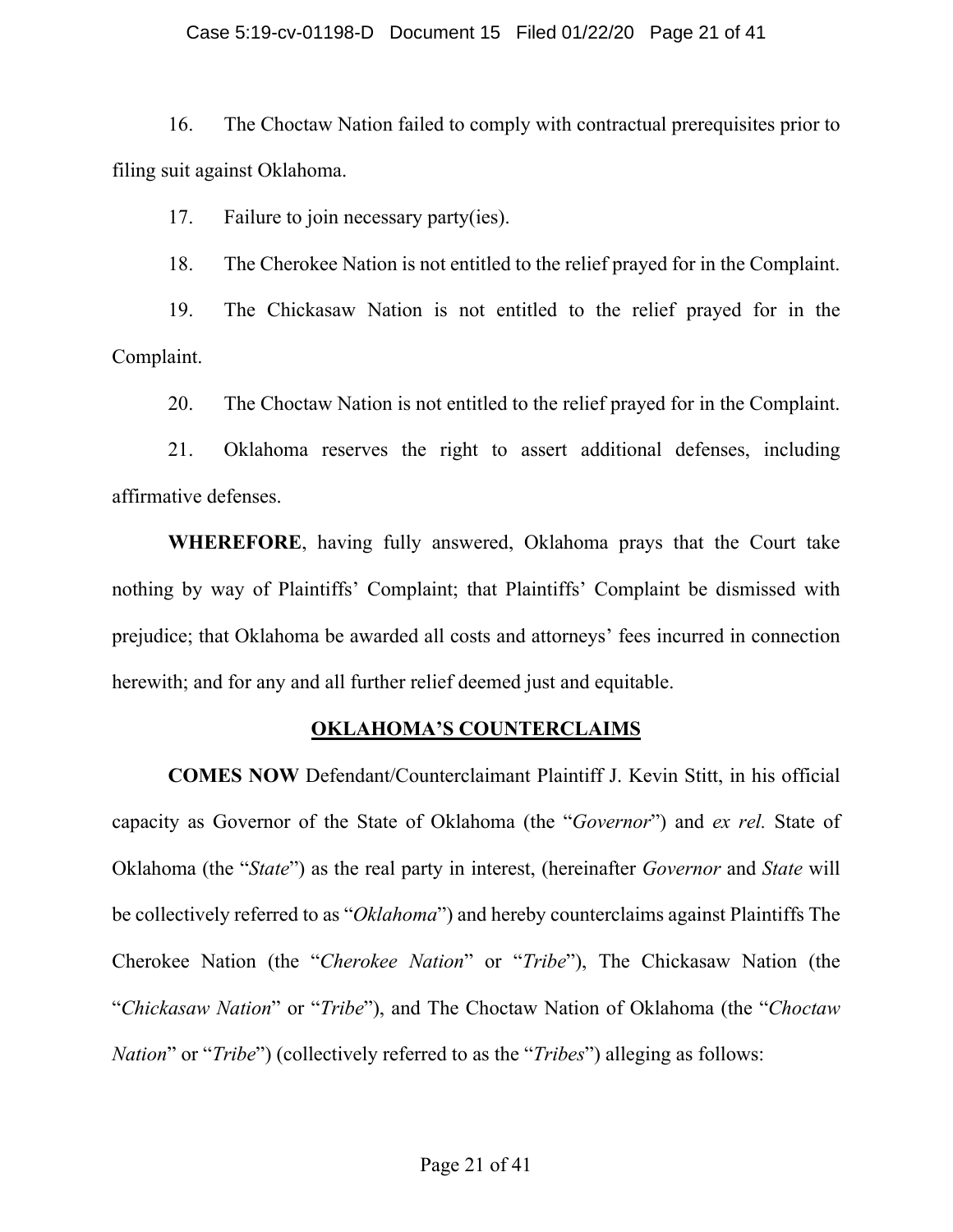### Case 5:19-cv-01198-D Document 15 Filed 01/22/20 Page 21 of 41

16. The Choctaw Nation failed to comply with contractual prerequisites prior to filing suit against Oklahoma.

17. Failure to join necessary party(ies).

18. The Cherokee Nation is not entitled to the relief prayed for in the Complaint.

19. The Chickasaw Nation is not entitled to the relief prayed for in the Complaint.

20. The Choctaw Nation is not entitled to the relief prayed for in the Complaint.

21. Oklahoma reserves the right to assert additional defenses, including affirmative defenses.

**WHEREFORE**, having fully answered, Oklahoma prays that the Court take nothing by way of Plaintiffs' Complaint; that Plaintiffs' Complaint be dismissed with prejudice; that Oklahoma be awarded all costs and attorneys' fees incurred in connection herewith; and for any and all further relief deemed just and equitable.

## **OKLAHOMA'S COUNTERCLAIMS**

**COMES NOW** Defendant/Counterclaimant Plaintiff J. Kevin Stitt, in his official capacity as Governor of the State of Oklahoma (the "*Governor*") and *ex rel.* State of Oklahoma (the "*State*") as the real party in interest, (hereinafter *Governor* and *State* will be collectively referred to as "*Oklahoma*") and hereby counterclaims against Plaintiffs The Cherokee Nation (the "*Cherokee Nation*" or "*Tribe*"), The Chickasaw Nation (the "*Chickasaw Nation*" or "*Tribe*"), and The Choctaw Nation of Oklahoma (the "*Choctaw Nation*" or "*Tribe*") (collectively referred to as the "*Tribes*") alleging as follows: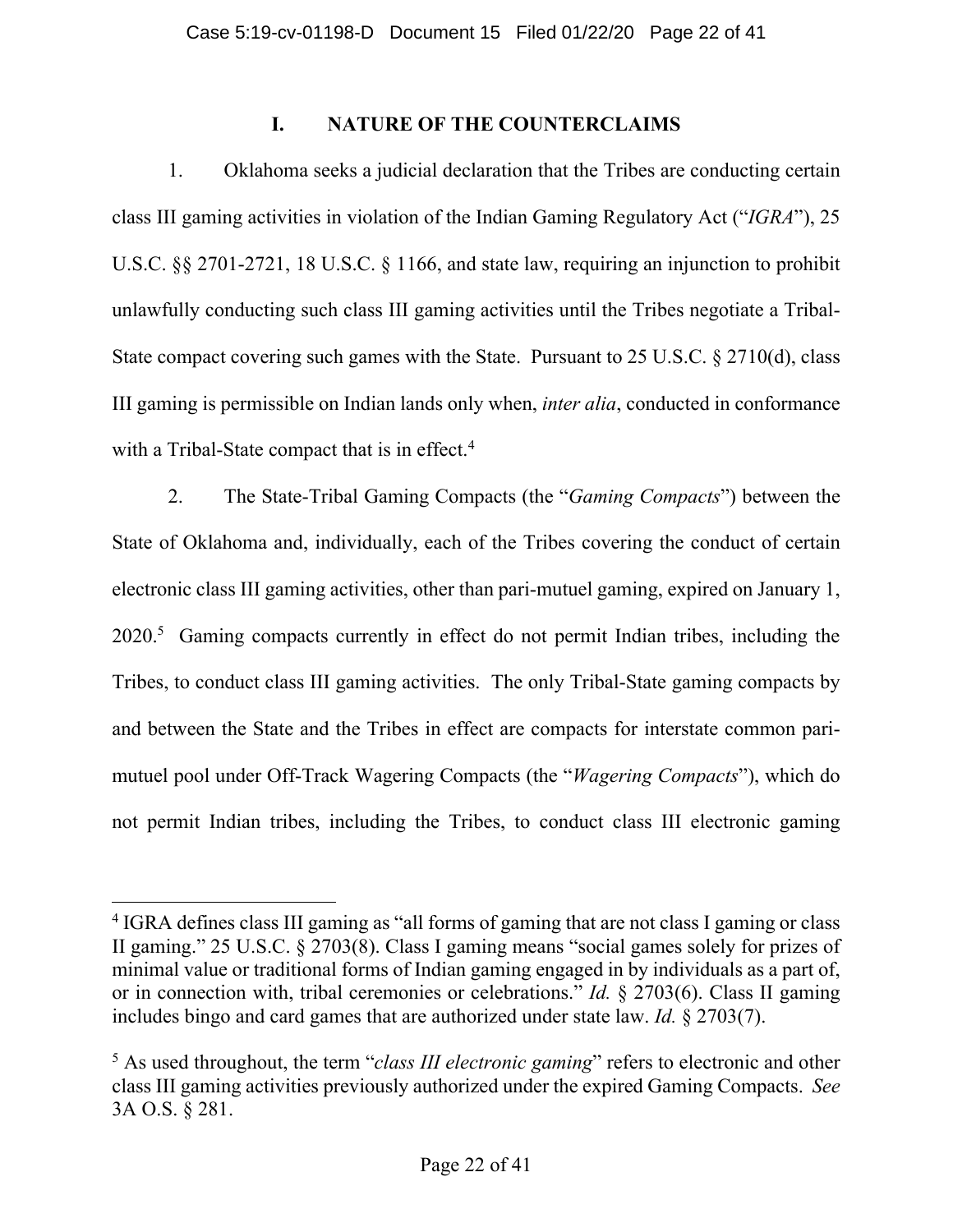# **I. NATURE OF THE COUNTERCLAIMS**

1. Oklahoma seeks a judicial declaration that the Tribes are conducting certain class III gaming activities in violation of the Indian Gaming Regulatory Act ("*IGRA*"), 25 U.S.C. §§ 2701-2721, 18 U.S.C. § 1166, and state law, requiring an injunction to prohibit unlawfully conducting such class III gaming activities until the Tribes negotiate a Tribal-State compact covering such games with the State. Pursuant to 25 U.S.C. § 2710(d), class III gaming is permissible on Indian lands only when, *inter alia*, conducted in conformance with a Tribal-State compact that is in effect.<sup>4</sup>

2. The State-Tribal Gaming Compacts (the "*Gaming Compacts*") between the State of Oklahoma and, individually, each of the Tribes covering the conduct of certain electronic class III gaming activities, other than pari-mutuel gaming, expired on January 1, 2020.<sup>5</sup> Gaming compacts currently in effect do not permit Indian tribes, including the Tribes, to conduct class III gaming activities. The only Tribal-State gaming compacts by and between the State and the Tribes in effect are compacts for interstate common parimutuel pool under Off-Track Wagering Compacts (the "*Wagering Compacts*"), which do not permit Indian tribes, including the Tribes, to conduct class III electronic gaming

<sup>&</sup>lt;sup>4</sup> IGRA defines class III gaming as "all forms of gaming that are not class I gaming or class II gaming." 25 U.S.C. § 2703(8). Class I gaming means "social games solely for prizes of minimal value or traditional forms of Indian gaming engaged in by individuals as a part of, or in connection with, tribal ceremonies or celebrations." *Id.* § 2703(6). Class II gaming includes bingo and card games that are authorized under state law. *Id.* § 2703(7).

<sup>5</sup> As used throughout, the term "*class III electronic gaming*" refers to electronic and other class III gaming activities previously authorized under the expired Gaming Compacts. *See* 3A O.S. § 281.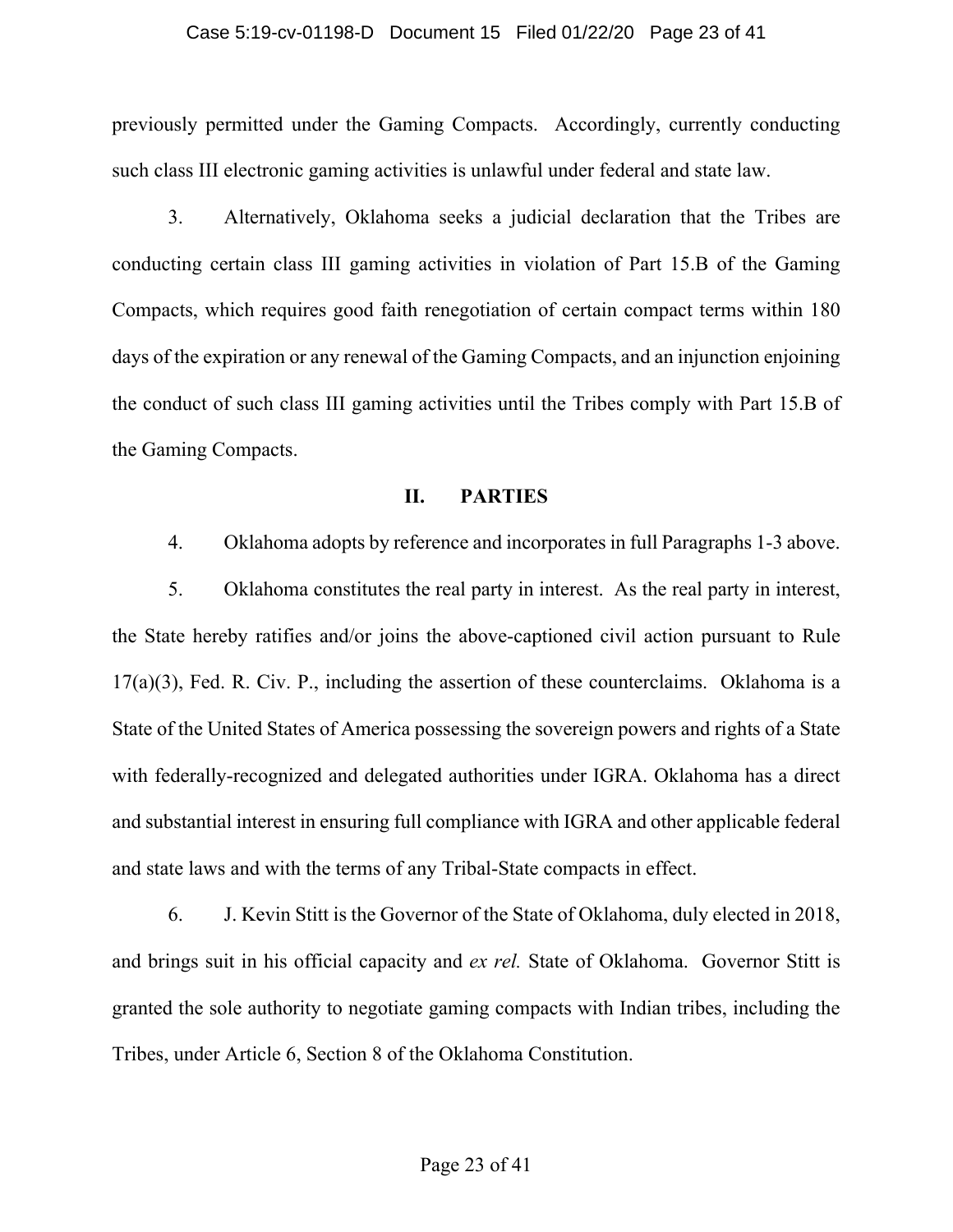### Case 5:19-cv-01198-D Document 15 Filed 01/22/20 Page 23 of 41

previously permitted under the Gaming Compacts. Accordingly, currently conducting such class III electronic gaming activities is unlawful under federal and state law.

3. Alternatively, Oklahoma seeks a judicial declaration that the Tribes are conducting certain class III gaming activities in violation of Part 15.B of the Gaming Compacts, which requires good faith renegotiation of certain compact terms within 180 days of the expiration or any renewal of the Gaming Compacts, and an injunction enjoining the conduct of such class III gaming activities until the Tribes comply with Part 15.B of the Gaming Compacts.

### **II. PARTIES**

4. Oklahoma adopts by reference and incorporates in full Paragraphs 1-3 above.

5. Oklahoma constitutes the real party in interest. As the real party in interest, the State hereby ratifies and/or joins the above-captioned civil action pursuant to Rule 17(a)(3), Fed. R. Civ. P., including the assertion of these counterclaims. Oklahoma is a State of the United States of America possessing the sovereign powers and rights of a State with federally-recognized and delegated authorities under IGRA. Oklahoma has a direct and substantial interest in ensuring full compliance with IGRA and other applicable federal and state laws and with the terms of any Tribal-State compacts in effect.

6. J. Kevin Stitt is the Governor of the State of Oklahoma, duly elected in 2018, and brings suit in his official capacity and *ex rel.* State of Oklahoma. Governor Stitt is granted the sole authority to negotiate gaming compacts with Indian tribes, including the Tribes, under Article 6, Section 8 of the Oklahoma Constitution.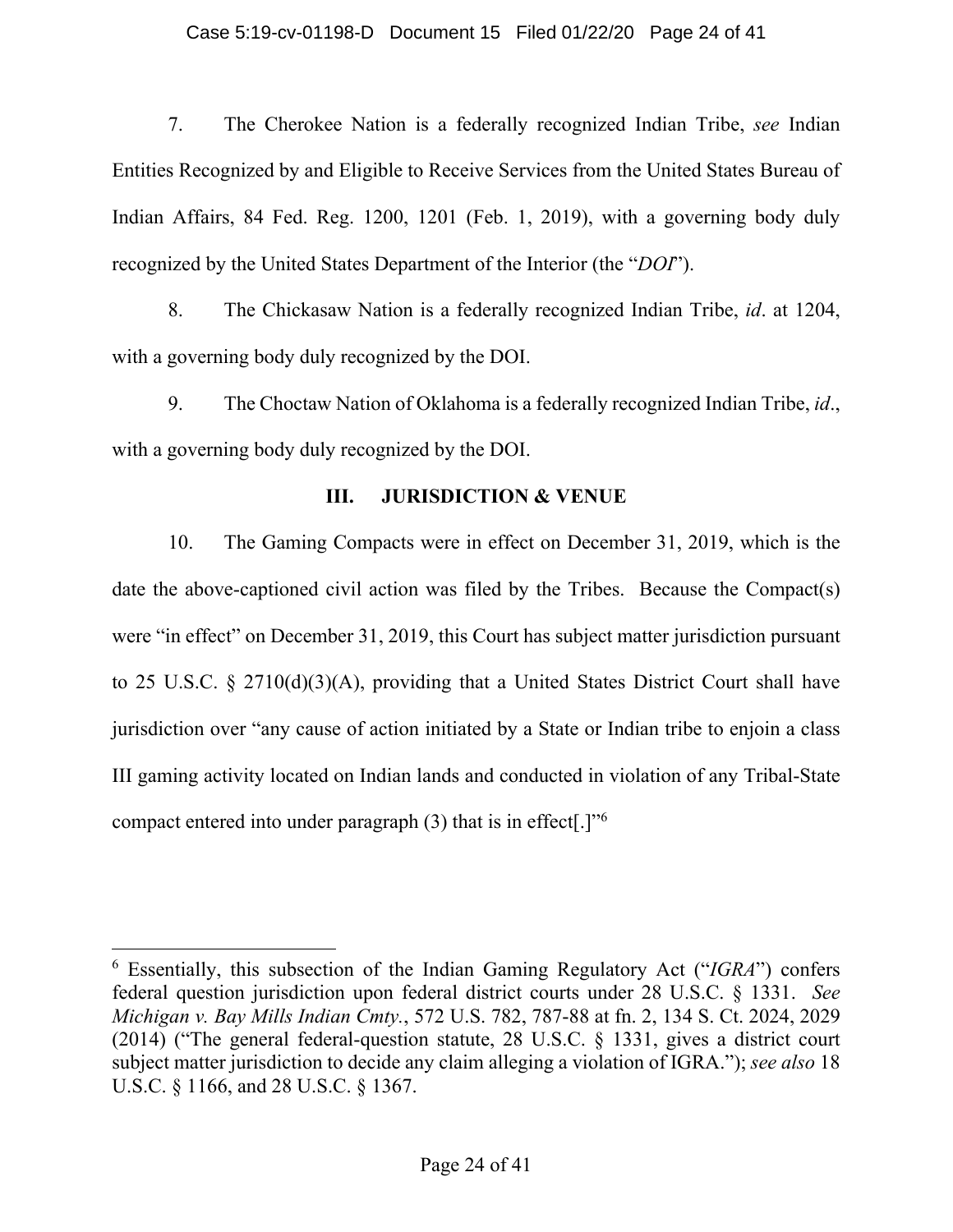### Case 5:19-cv-01198-D Document 15 Filed 01/22/20 Page 24 of 41

7. The Cherokee Nation is a federally recognized Indian Tribe, *see* Indian Entities Recognized by and Eligible to Receive Services from the United States Bureau of Indian Affairs, 84 Fed. Reg. 1200, 1201 (Feb. 1, 2019), with a governing body duly recognized by the United States Department of the Interior (the "*DOI*").

8. The Chickasaw Nation is a federally recognized Indian Tribe, *id*. at 1204, with a governing body duly recognized by the DOI.

9. The Choctaw Nation of Oklahoma is a federally recognized Indian Tribe, *id*., with a governing body duly recognized by the DOI.

## **III. JURISDICTION & VENUE**

10. The Gaming Compacts were in effect on December 31, 2019, which is the date the above-captioned civil action was filed by the Tribes. Because the Compact(s) were "in effect" on December 31, 2019, this Court has subject matter jurisdiction pursuant to 25 U.S.C. § 2710(d)(3)(A), providing that a United States District Court shall have jurisdiction over "any cause of action initiated by a State or Indian tribe to enjoin a class III gaming activity located on Indian lands and conducted in violation of any Tribal-State compact entered into under paragraph  $(3)$  that is in effect[.]"<sup>6</sup>

<sup>6</sup> Essentially, this subsection of the Indian Gaming Regulatory Act ("*IGRA*") confers federal question jurisdiction upon federal district courts under 28 U.S.C. § 1331. *See Michigan v. Bay Mills Indian Cmty.*, 572 U.S. 782, 787-88 at fn. 2, 134 S. Ct. 2024, 2029 (2014) ("The general federal-question statute, 28 U.S.C. § 1331, gives a district court subject matter jurisdiction to decide any claim alleging a violation of IGRA."); *see also* 18 U.S.C. § 1166, and 28 U.S.C. § 1367.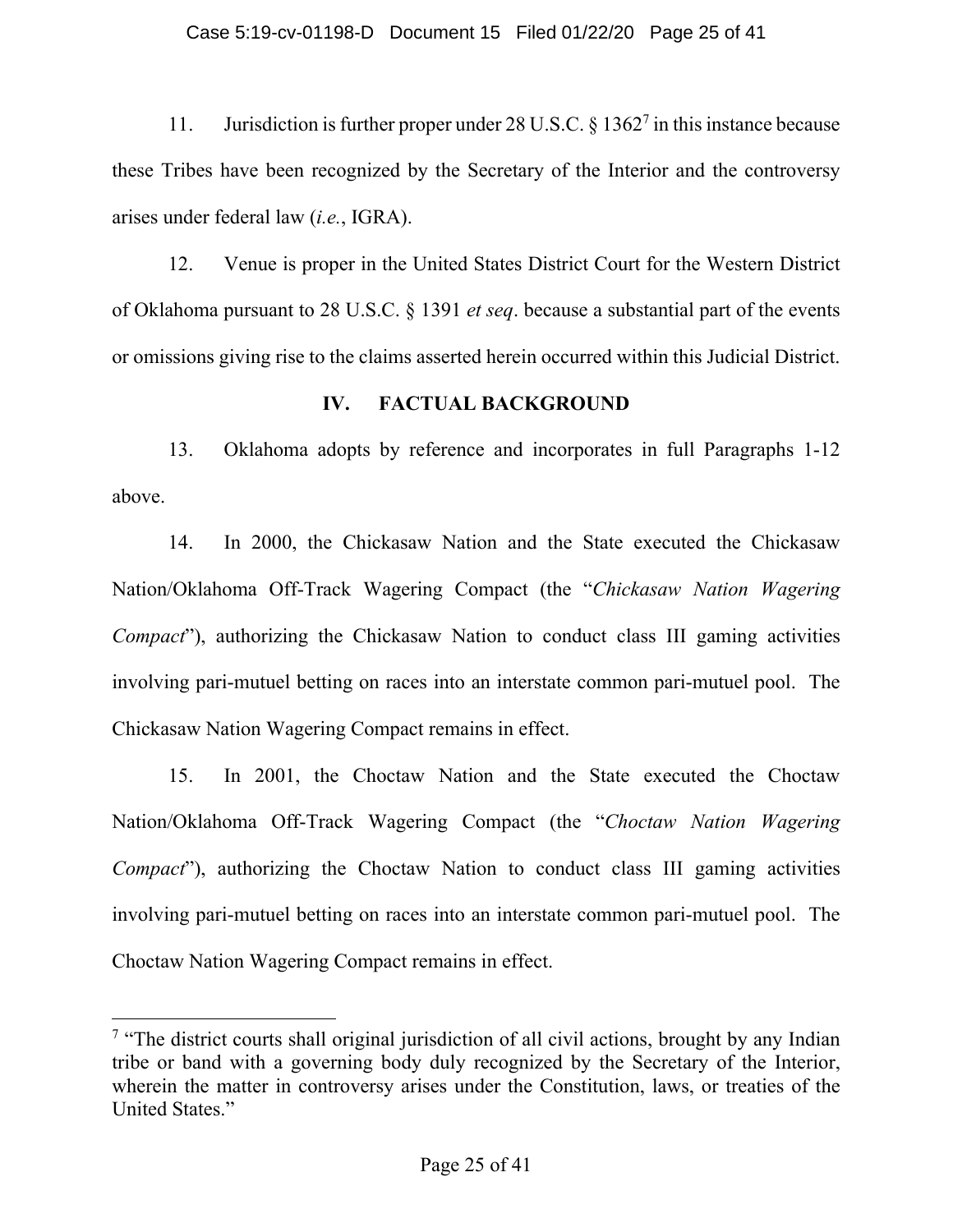### Case 5:19-cv-01198-D Document 15 Filed 01/22/20 Page 25 of 41

11. Jurisdiction is further proper under 28 U.S.C. § 1362<sup>7</sup> in this instance because these Tribes have been recognized by the Secretary of the Interior and the controversy arises under federal law (*i.e.*, IGRA).

12. Venue is proper in the United States District Court for the Western District of Oklahoma pursuant to 28 U.S.C. § 1391 *et seq*. because a substantial part of the events or omissions giving rise to the claims asserted herein occurred within this Judicial District.

## **IV. FACTUAL BACKGROUND**

13. Oklahoma adopts by reference and incorporates in full Paragraphs 1-12 above.

14. In 2000, the Chickasaw Nation and the State executed the Chickasaw Nation/Oklahoma Off-Track Wagering Compact (the "*Chickasaw Nation Wagering Compact*"), authorizing the Chickasaw Nation to conduct class III gaming activities involving pari-mutuel betting on races into an interstate common pari-mutuel pool. The Chickasaw Nation Wagering Compact remains in effect.

15. In 2001, the Choctaw Nation and the State executed the Choctaw Nation/Oklahoma Off-Track Wagering Compact (the "*Choctaw Nation Wagering Compact*"), authorizing the Choctaw Nation to conduct class III gaming activities involving pari-mutuel betting on races into an interstate common pari-mutuel pool. The Choctaw Nation Wagering Compact remains in effect.

<sup>&</sup>lt;sup>7</sup> "The district courts shall original jurisdiction of all civil actions, brought by any Indian tribe or band with a governing body duly recognized by the Secretary of the Interior, wherein the matter in controversy arises under the Constitution, laws, or treaties of the United States."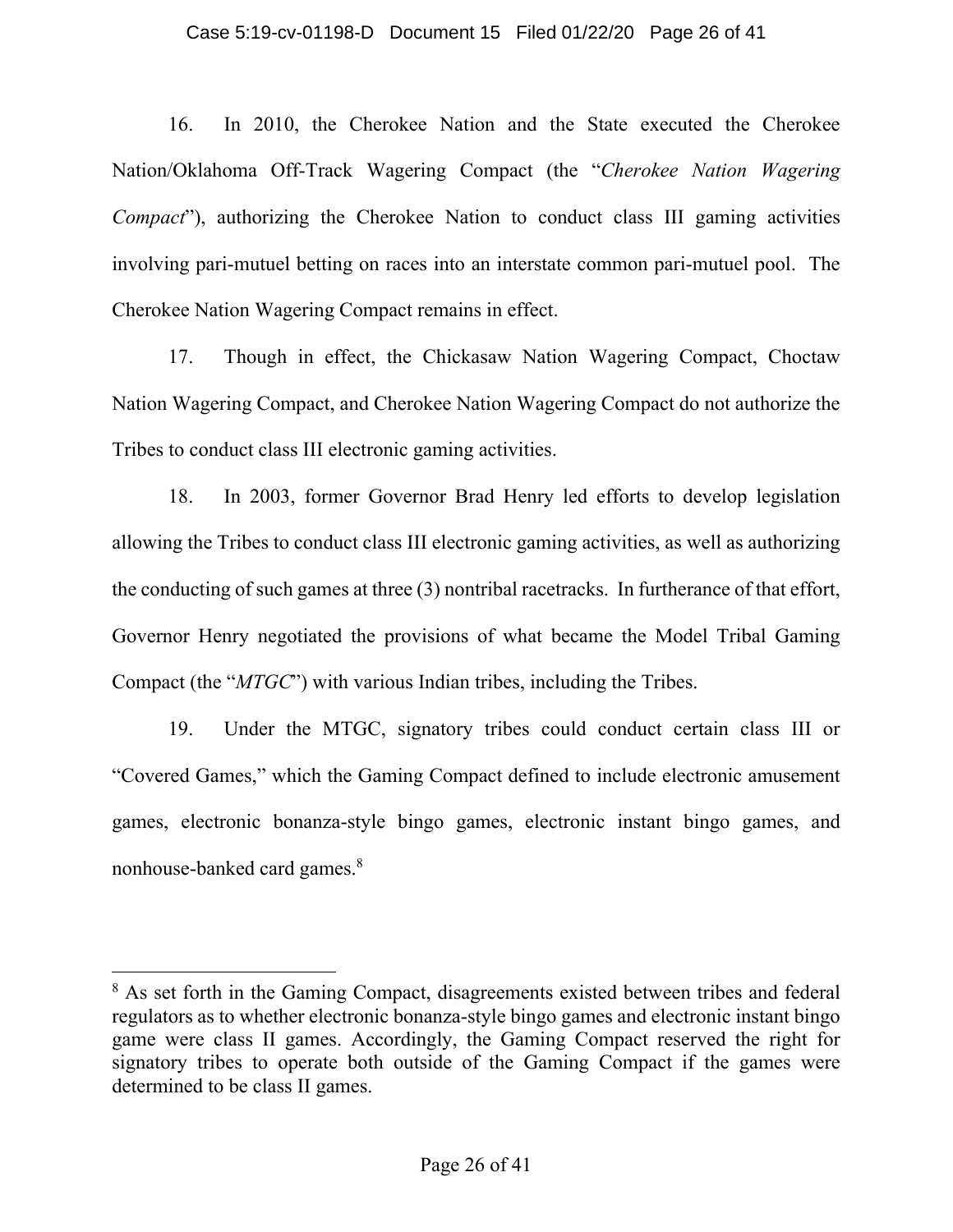### Case 5:19-cv-01198-D Document 15 Filed 01/22/20 Page 26 of 41

16. In 2010, the Cherokee Nation and the State executed the Cherokee Nation/Oklahoma Off-Track Wagering Compact (the "*Cherokee Nation Wagering Compact*"), authorizing the Cherokee Nation to conduct class III gaming activities involving pari-mutuel betting on races into an interstate common pari-mutuel pool. The Cherokee Nation Wagering Compact remains in effect.

17. Though in effect, the Chickasaw Nation Wagering Compact, Choctaw Nation Wagering Compact, and Cherokee Nation Wagering Compact do not authorize the Tribes to conduct class III electronic gaming activities.

18. In 2003, former Governor Brad Henry led efforts to develop legislation allowing the Tribes to conduct class III electronic gaming activities, as well as authorizing the conducting of such games at three (3) nontribal racetracks. In furtherance of that effort, Governor Henry negotiated the provisions of what became the Model Tribal Gaming Compact (the "*MTGC*") with various Indian tribes, including the Tribes.

19. Under the MTGC, signatory tribes could conduct certain class III or "Covered Games," which the Gaming Compact defined to include electronic amusement games, electronic bonanza-style bingo games, electronic instant bingo games, and nonhouse-banked card games.<sup>8</sup>

<sup>&</sup>lt;sup>8</sup> As set forth in the Gaming Compact, disagreements existed between tribes and federal regulators as to whether electronic bonanza-style bingo games and electronic instant bingo game were class II games. Accordingly, the Gaming Compact reserved the right for signatory tribes to operate both outside of the Gaming Compact if the games were determined to be class II games.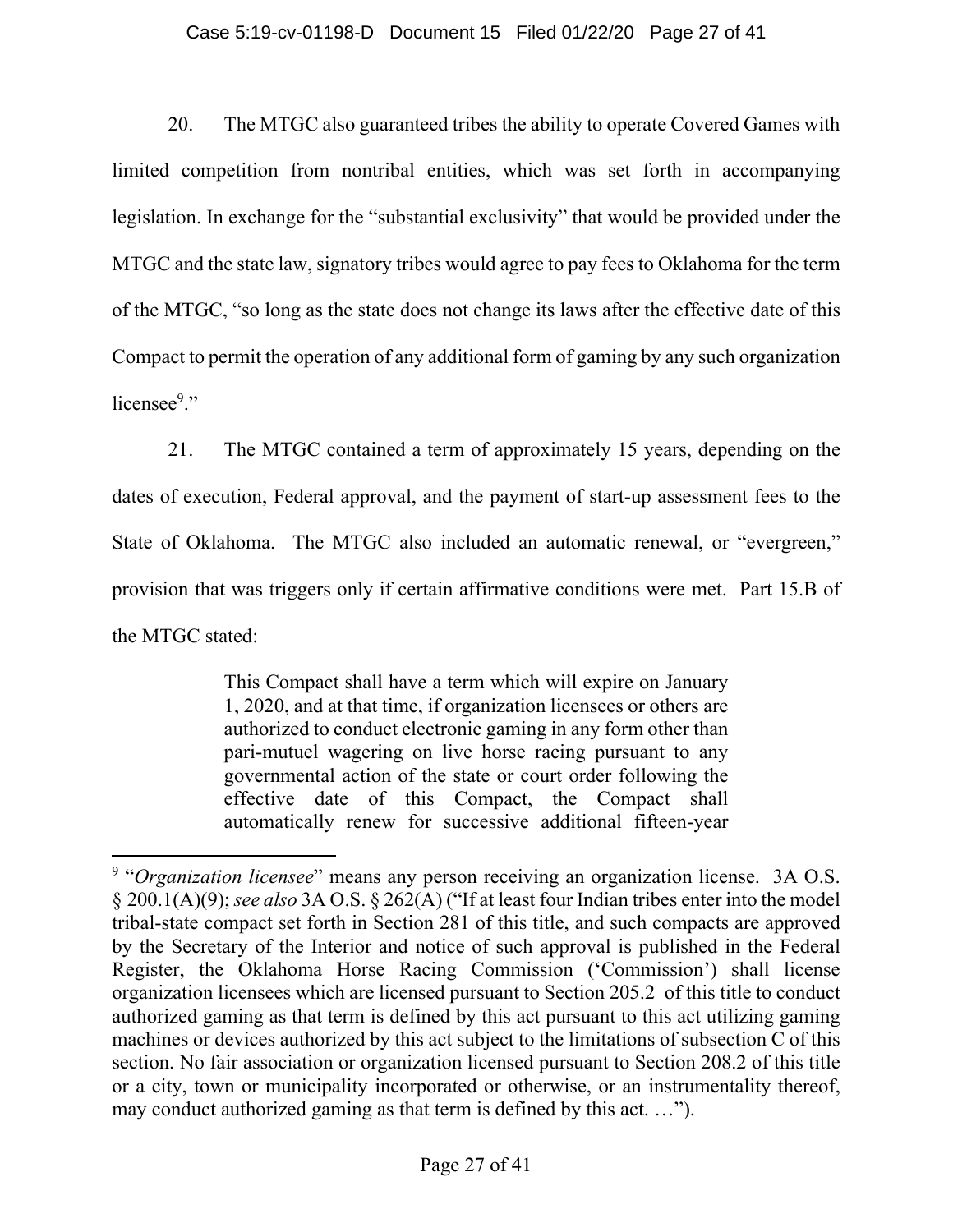### Case 5:19-cv-01198-D Document 15 Filed 01/22/20 Page 27 of 41

20. The MTGC also guaranteed tribes the ability to operate Covered Games with limited competition from nontribal entities, which was set forth in accompanying legislation. In exchange for the "substantial exclusivity" that would be provided under the MTGC and the state law, signatory tribes would agree to pay fees to Oklahoma for the term of the MTGC, "so long as the state does not change its laws after the effective date of this Compact to permit the operation of any additional form of gaming by any such organization licensee<sup>9</sup>."

21. The MTGC contained a term of approximately 15 years, depending on the dates of execution, Federal approval, and the payment of start-up assessment fees to the State of Oklahoma. The MTGC also included an automatic renewal, or "evergreen," provision that was triggers only if certain affirmative conditions were met. Part 15.B of the MTGC stated:

> This Compact shall have a term which will expire on January 1, 2020, and at that time, if organization licensees or others are authorized to conduct electronic gaming in any form other than pari-mutuel wagering on live horse racing pursuant to any governmental action of the state or court order following the effective date of this Compact, the Compact shall automatically renew for successive additional fifteen-year

<sup>&</sup>lt;sup>9</sup> "Organization licensee" means any person receiving an organization license. 3A O.S. § 200.1(A)(9); *see also* 3A O.S. § 262(A) ("If at least four Indian tribes enter into the model tribal-state compact set forth in Section 281 of this title, and such compacts are approved by the Secretary of the Interior and notice of such approval is published in the Federal Register, the Oklahoma Horse Racing Commission ('Commission') shall license organization licensees which are licensed pursuant to Section 205.2 of this title to conduct authorized gaming as that term is defined by this act pursuant to this act utilizing gaming machines or devices authorized by this act subject to the limitations of subsection C of this section. No fair association or organization licensed pursuant to Section 208.2 of this title or a city, town or municipality incorporated or otherwise, or an instrumentality thereof, may conduct authorized gaming as that term is defined by this act. …").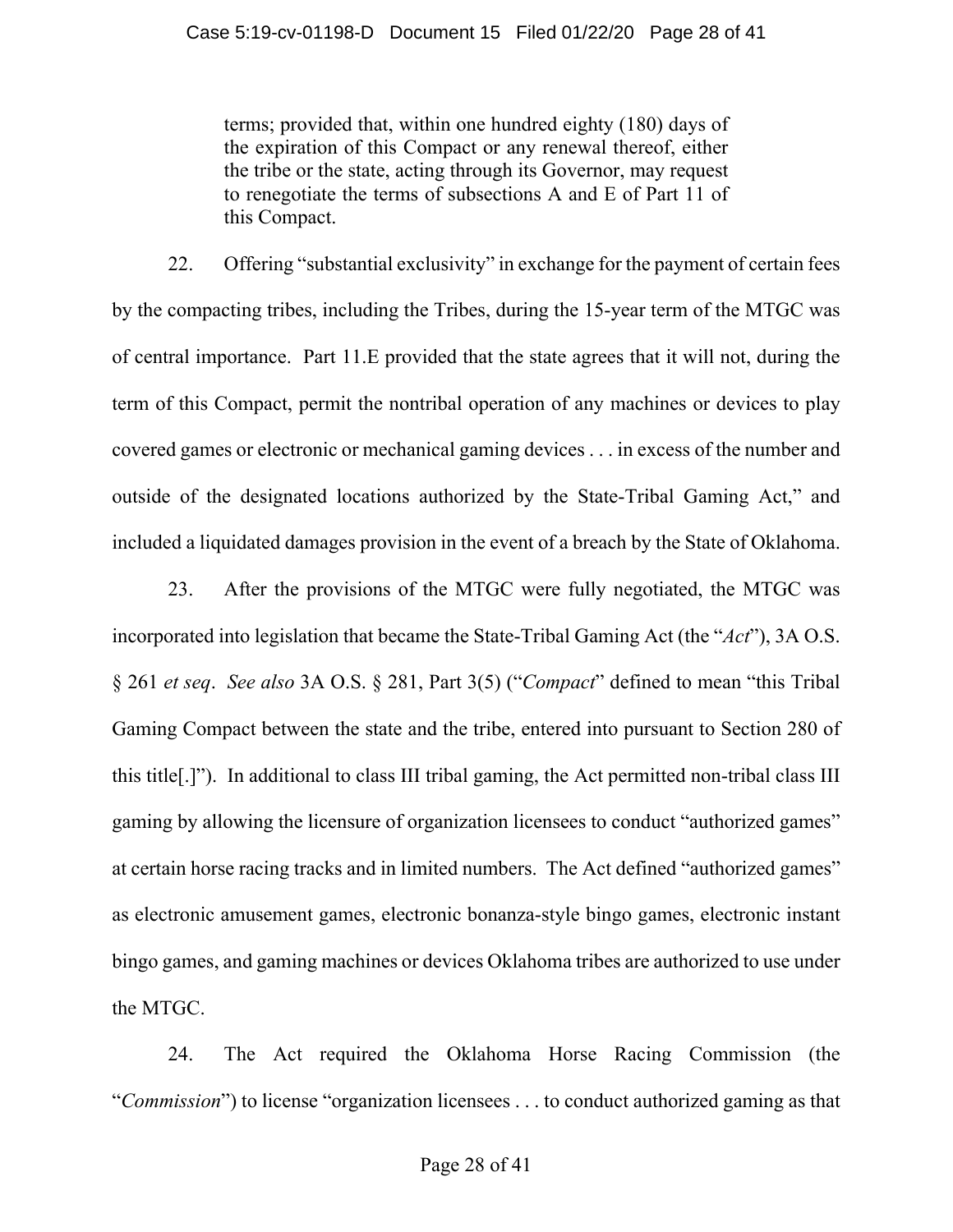terms; provided that, within one hundred eighty (180) days of the expiration of this Compact or any renewal thereof, either the tribe or the state, acting through its Governor, may request to renegotiate the terms of subsections A and E of Part 11 of this Compact.

22. Offering "substantial exclusivity" in exchange for the payment of certain fees by the compacting tribes, including the Tribes, during the 15-year term of the MTGC was of central importance. Part 11.E provided that the state agrees that it will not, during the term of this Compact, permit the nontribal operation of any machines or devices to play covered games or electronic or mechanical gaming devices . . . in excess of the number and outside of the designated locations authorized by the State-Tribal Gaming Act," and included a liquidated damages provision in the event of a breach by the State of Oklahoma.

23. After the provisions of the MTGC were fully negotiated, the MTGC was incorporated into legislation that became the State-Tribal Gaming Act (the "*Act*"), 3A O.S. § 261 *et seq*. *See also* 3A O.S. § 281, Part 3(5) ("*Compact*" defined to mean "this Tribal Gaming Compact between the state and the tribe, entered into pursuant to Section 280 of this title[.]"). In additional to class III tribal gaming, the Act permitted non-tribal class III gaming by allowing the licensure of organization licensees to conduct "authorized games" at certain horse racing tracks and in limited numbers. The Act defined "authorized games" as electronic amusement games, electronic bonanza-style bingo games, electronic instant bingo games, and gaming machines or devices Oklahoma tribes are authorized to use under the MTGC.

24. The Act required the Oklahoma Horse Racing Commission (the "*Commission*") to license "organization licensees . . . to conduct authorized gaming as that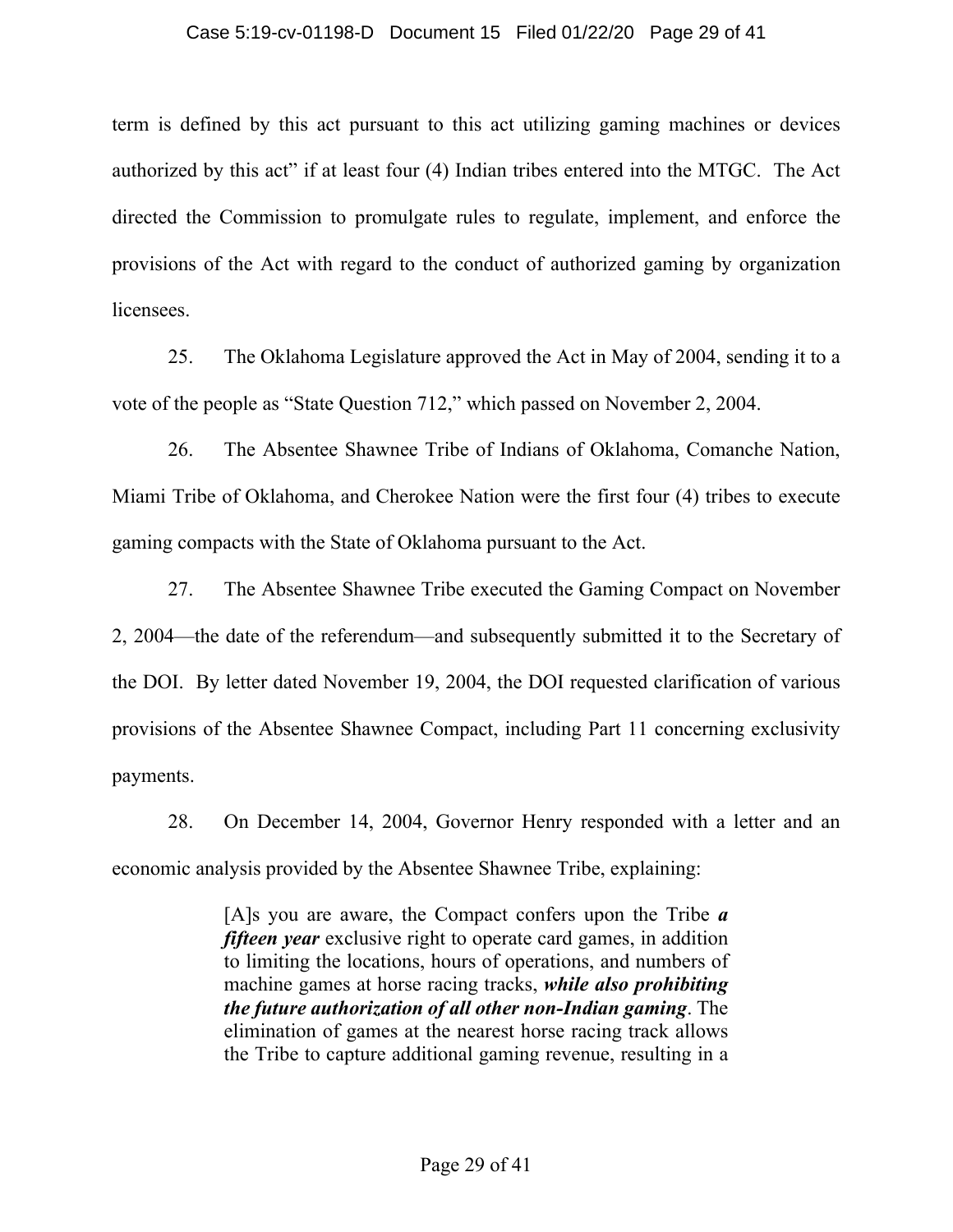### Case 5:19-cv-01198-D Document 15 Filed 01/22/20 Page 29 of 41

term is defined by this act pursuant to this act utilizing gaming machines or devices authorized by this act" if at least four (4) Indian tribes entered into the MTGC. The Act directed the Commission to promulgate rules to regulate, implement, and enforce the provisions of the Act with regard to the conduct of authorized gaming by organization licensees.

25. The Oklahoma Legislature approved the Act in May of 2004, sending it to a vote of the people as "State Question 712," which passed on November 2, 2004.

26. The Absentee Shawnee Tribe of Indians of Oklahoma, Comanche Nation, Miami Tribe of Oklahoma, and Cherokee Nation were the first four (4) tribes to execute gaming compacts with the State of Oklahoma pursuant to the Act.

27. The Absentee Shawnee Tribe executed the Gaming Compact on November 2, 2004—the date of the referendum—and subsequently submitted it to the Secretary of the DOI. By letter dated November 19, 2004, the DOI requested clarification of various provisions of the Absentee Shawnee Compact, including Part 11 concerning exclusivity payments.

28. On December 14, 2004, Governor Henry responded with a letter and an economic analysis provided by the Absentee Shawnee Tribe, explaining:

> [A]s you are aware, the Compact confers upon the Tribe *a fifteen year* exclusive right to operate card games, in addition to limiting the locations, hours of operations, and numbers of machine games at horse racing tracks, *while also prohibiting the future authorization of all other non-Indian gaming*. The elimination of games at the nearest horse racing track allows the Tribe to capture additional gaming revenue, resulting in a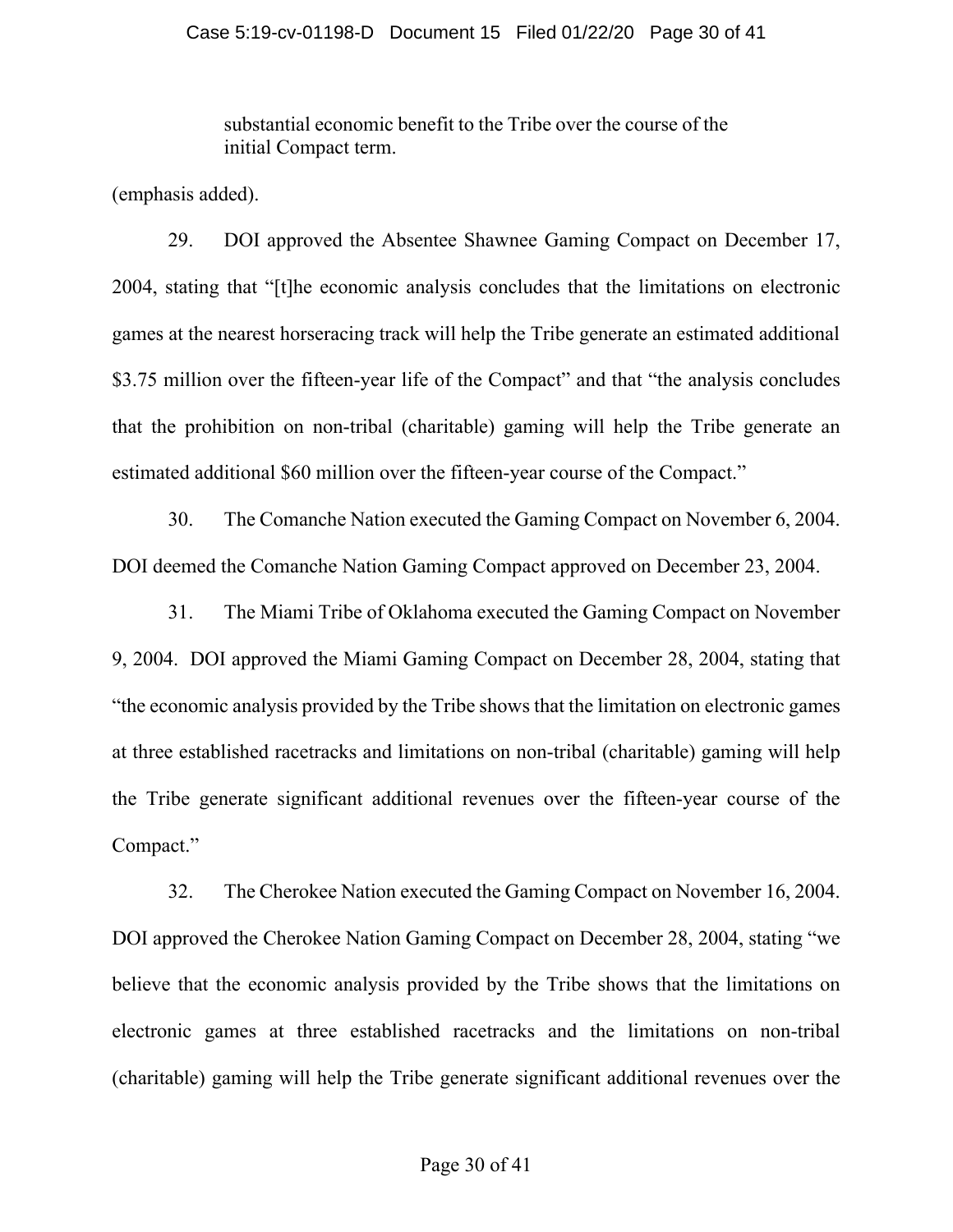substantial economic benefit to the Tribe over the course of the initial Compact term.

(emphasis added).

29. DOI approved the Absentee Shawnee Gaming Compact on December 17, 2004, stating that "[t]he economic analysis concludes that the limitations on electronic games at the nearest horseracing track will help the Tribe generate an estimated additional \$3.75 million over the fifteen-year life of the Compact" and that "the analysis concludes that the prohibition on non-tribal (charitable) gaming will help the Tribe generate an estimated additional \$60 million over the fifteen-year course of the Compact."

30. The Comanche Nation executed the Gaming Compact on November 6, 2004. DOI deemed the Comanche Nation Gaming Compact approved on December 23, 2004.

31. The Miami Tribe of Oklahoma executed the Gaming Compact on November 9, 2004. DOI approved the Miami Gaming Compact on December 28, 2004, stating that "the economic analysis provided by the Tribe shows that the limitation on electronic games at three established racetracks and limitations on non-tribal (charitable) gaming will help the Tribe generate significant additional revenues over the fifteen-year course of the Compact."

32. The Cherokee Nation executed the Gaming Compact on November 16, 2004. DOI approved the Cherokee Nation Gaming Compact on December 28, 2004, stating "we believe that the economic analysis provided by the Tribe shows that the limitations on electronic games at three established racetracks and the limitations on non-tribal (charitable) gaming will help the Tribe generate significant additional revenues over the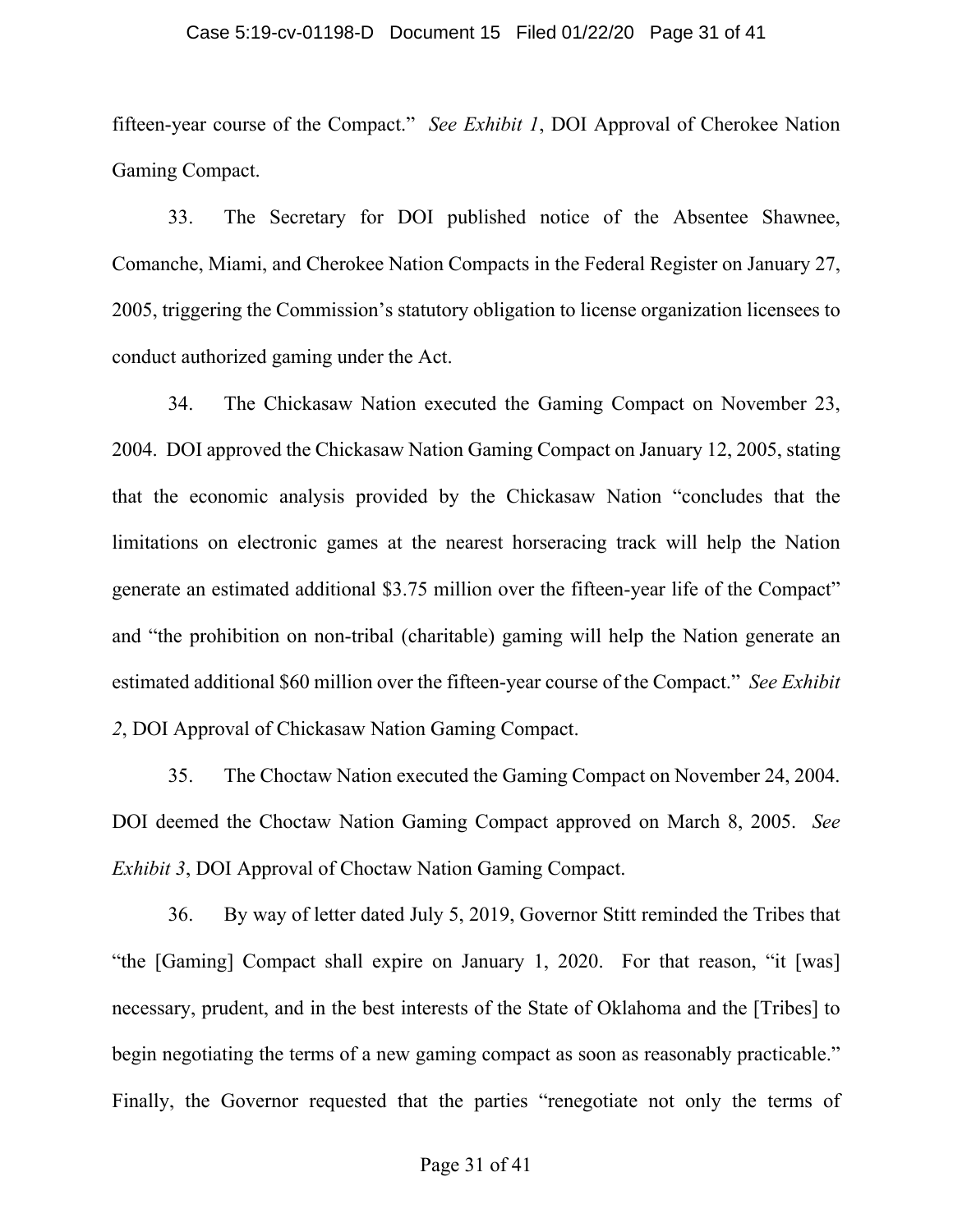### Case 5:19-cv-01198-D Document 15 Filed 01/22/20 Page 31 of 41

fifteen-year course of the Compact." *See Exhibit 1*, DOI Approval of Cherokee Nation Gaming Compact.

33. The Secretary for DOI published notice of the Absentee Shawnee, Comanche, Miami, and Cherokee Nation Compacts in the Federal Register on January 27, 2005, triggering the Commission's statutory obligation to license organization licensees to conduct authorized gaming under the Act.

34. The Chickasaw Nation executed the Gaming Compact on November 23, 2004. DOI approved the Chickasaw Nation Gaming Compact on January 12, 2005, stating that the economic analysis provided by the Chickasaw Nation "concludes that the limitations on electronic games at the nearest horseracing track will help the Nation generate an estimated additional \$3.75 million over the fifteen-year life of the Compact" and "the prohibition on non-tribal (charitable) gaming will help the Nation generate an estimated additional \$60 million over the fifteen-year course of the Compact." *See Exhibit 2*, DOI Approval of Chickasaw Nation Gaming Compact.

35. The Choctaw Nation executed the Gaming Compact on November 24, 2004. DOI deemed the Choctaw Nation Gaming Compact approved on March 8, 2005. *See Exhibit 3*, DOI Approval of Choctaw Nation Gaming Compact.

36. By way of letter dated July 5, 2019, Governor Stitt reminded the Tribes that "the [Gaming] Compact shall expire on January 1, 2020. For that reason, "it [was] necessary, prudent, and in the best interests of the State of Oklahoma and the [Tribes] to begin negotiating the terms of a new gaming compact as soon as reasonably practicable." Finally, the Governor requested that the parties "renegotiate not only the terms of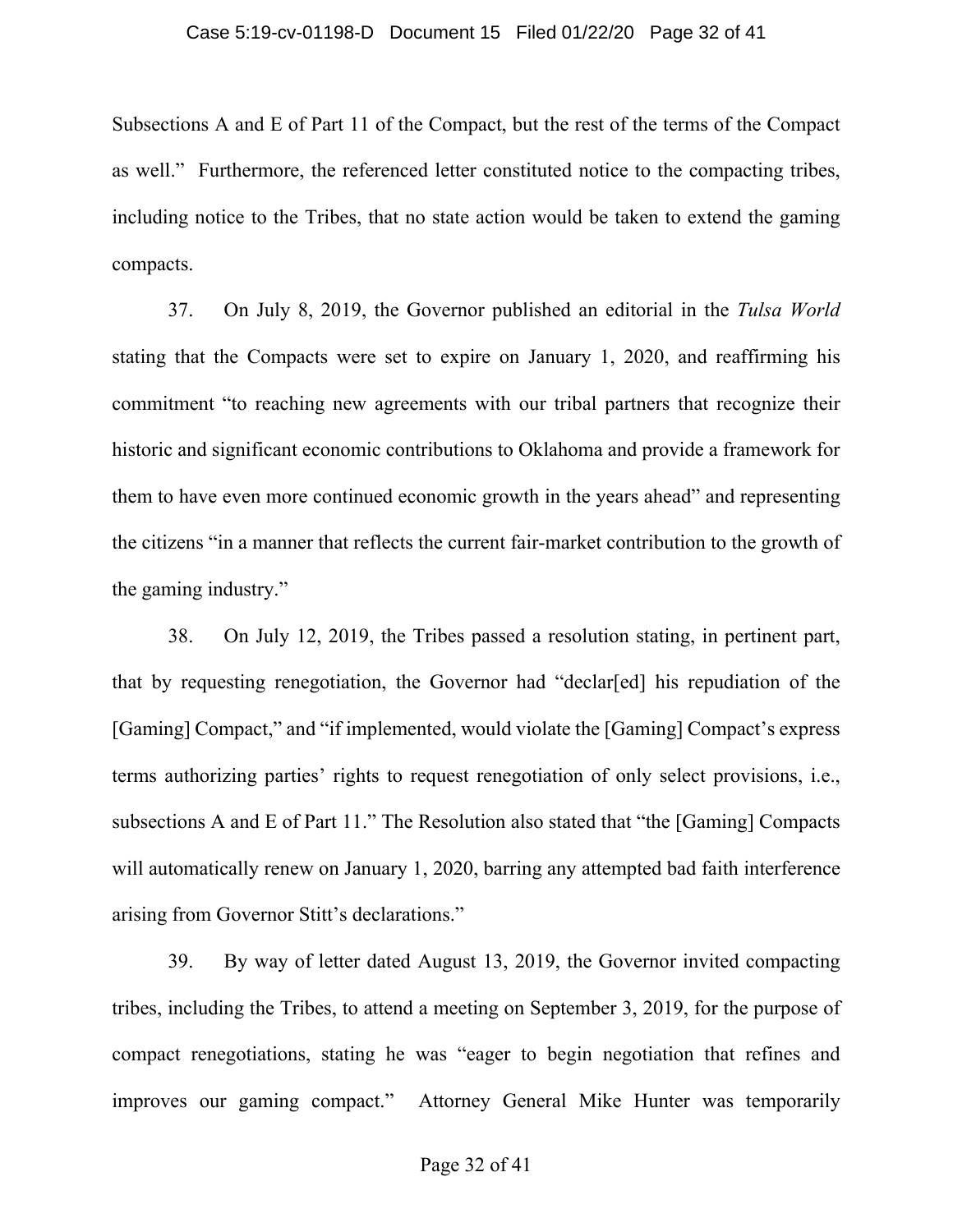### Case 5:19-cv-01198-D Document 15 Filed 01/22/20 Page 32 of 41

Subsections A and E of Part 11 of the Compact, but the rest of the terms of the Compact as well." Furthermore, the referenced letter constituted notice to the compacting tribes, including notice to the Tribes, that no state action would be taken to extend the gaming compacts.

37. On July 8, 2019, the Governor published an editorial in the *Tulsa World* stating that the Compacts were set to expire on January 1, 2020, and reaffirming his commitment "to reaching new agreements with our tribal partners that recognize their historic and significant economic contributions to Oklahoma and provide a framework for them to have even more continued economic growth in the years ahead" and representing the citizens "in a manner that reflects the current fair-market contribution to the growth of the gaming industry."

38. On July 12, 2019, the Tribes passed a resolution stating, in pertinent part, that by requesting renegotiation, the Governor had "declar[ed] his repudiation of the [Gaming] Compact," and "if implemented, would violate the [Gaming] Compact's express terms authorizing parties' rights to request renegotiation of only select provisions, i.e., subsections A and E of Part 11." The Resolution also stated that "the [Gaming] Compacts will automatically renew on January 1, 2020, barring any attempted bad faith interference arising from Governor Stitt's declarations."

39. By way of letter dated August 13, 2019, the Governor invited compacting tribes, including the Tribes, to attend a meeting on September 3, 2019, for the purpose of compact renegotiations, stating he was "eager to begin negotiation that refines and improves our gaming compact." Attorney General Mike Hunter was temporarily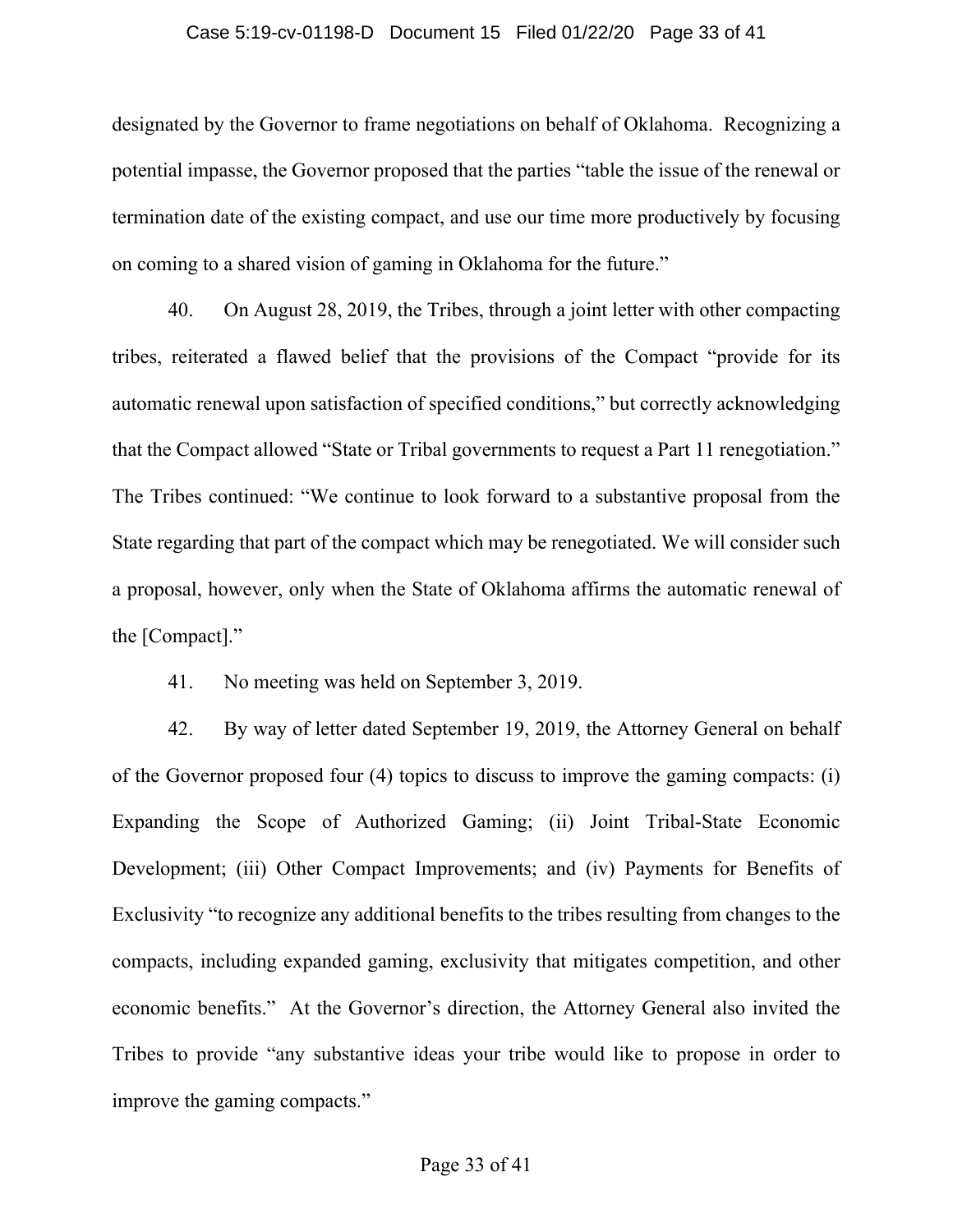### Case 5:19-cv-01198-D Document 15 Filed 01/22/20 Page 33 of 41

designated by the Governor to frame negotiations on behalf of Oklahoma. Recognizing a potential impasse, the Governor proposed that the parties "table the issue of the renewal or termination date of the existing compact, and use our time more productively by focusing on coming to a shared vision of gaming in Oklahoma for the future."

40. On August 28, 2019, the Tribes, through a joint letter with other compacting tribes, reiterated a flawed belief that the provisions of the Compact "provide for its automatic renewal upon satisfaction of specified conditions," but correctly acknowledging that the Compact allowed "State or Tribal governments to request a Part 11 renegotiation." The Tribes continued: "We continue to look forward to a substantive proposal from the State regarding that part of the compact which may be renegotiated. We will consider such a proposal, however, only when the State of Oklahoma affirms the automatic renewal of the [Compact]."

41. No meeting was held on September 3, 2019.

42. By way of letter dated September 19, 2019, the Attorney General on behalf of the Governor proposed four (4) topics to discuss to improve the gaming compacts: (i) Expanding the Scope of Authorized Gaming; (ii) Joint Tribal-State Economic Development; (iii) Other Compact Improvements; and (iv) Payments for Benefits of Exclusivity "to recognize any additional benefits to the tribes resulting from changes to the compacts, including expanded gaming, exclusivity that mitigates competition, and other economic benefits." At the Governor's direction, the Attorney General also invited the Tribes to provide "any substantive ideas your tribe would like to propose in order to improve the gaming compacts."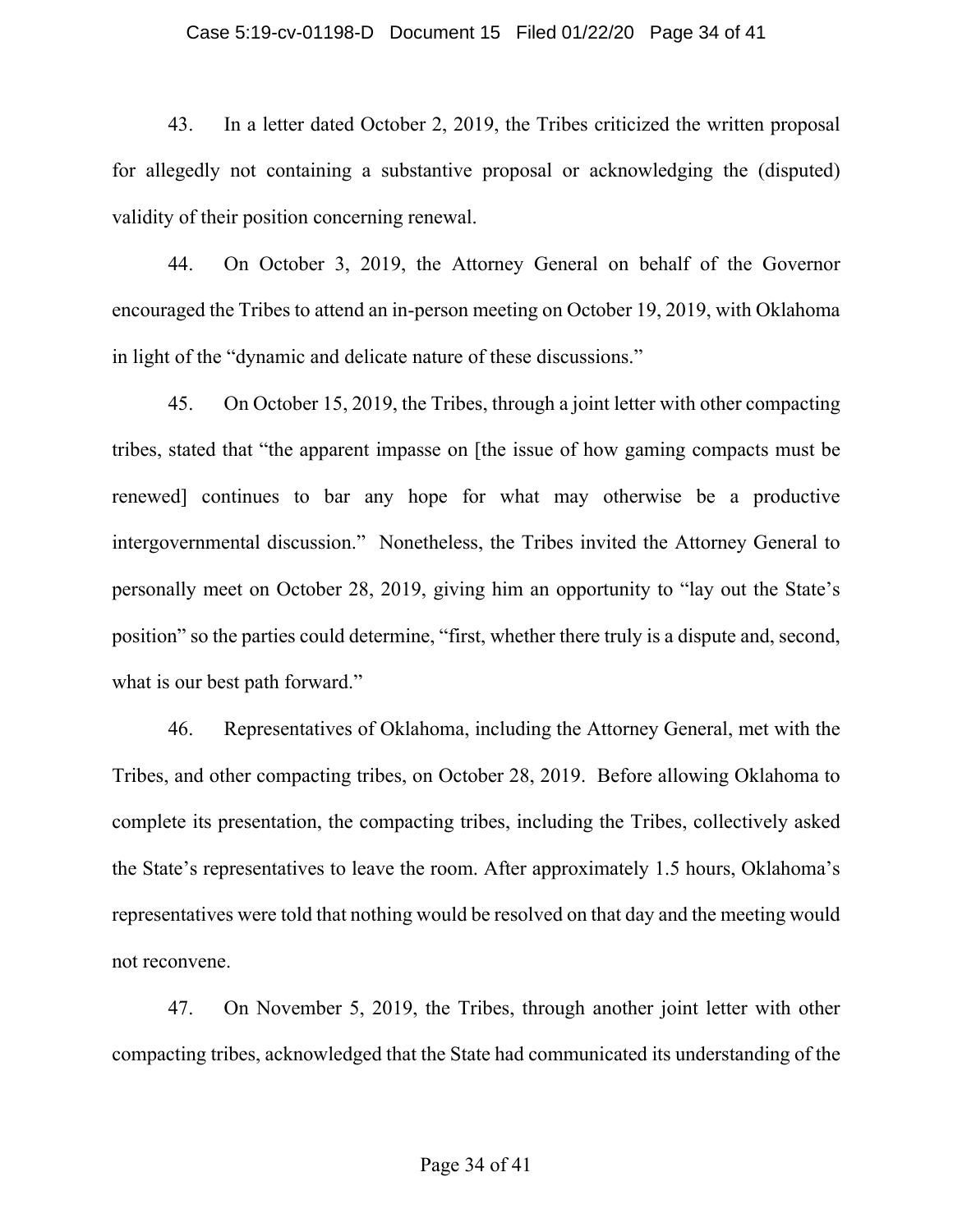### Case 5:19-cv-01198-D Document 15 Filed 01/22/20 Page 34 of 41

43. In a letter dated October 2, 2019, the Tribes criticized the written proposal for allegedly not containing a substantive proposal or acknowledging the (disputed) validity of their position concerning renewal.

44. On October 3, 2019, the Attorney General on behalf of the Governor encouraged the Tribes to attend an in-person meeting on October 19, 2019, with Oklahoma in light of the "dynamic and delicate nature of these discussions."

45. On October 15, 2019, the Tribes, through a joint letter with other compacting tribes, stated that "the apparent impasse on [the issue of how gaming compacts must be renewed] continues to bar any hope for what may otherwise be a productive intergovernmental discussion." Nonetheless, the Tribes invited the Attorney General to personally meet on October 28, 2019, giving him an opportunity to "lay out the State's position" so the parties could determine, "first, whether there truly is a dispute and, second, what is our best path forward."

46. Representatives of Oklahoma, including the Attorney General, met with the Tribes, and other compacting tribes, on October 28, 2019. Before allowing Oklahoma to complete its presentation, the compacting tribes, including the Tribes, collectively asked the State's representatives to leave the room. After approximately 1.5 hours, Oklahoma's representatives were told that nothing would be resolved on that day and the meeting would not reconvene.

47. On November 5, 2019, the Tribes, through another joint letter with other compacting tribes, acknowledged that the State had communicated its understanding of the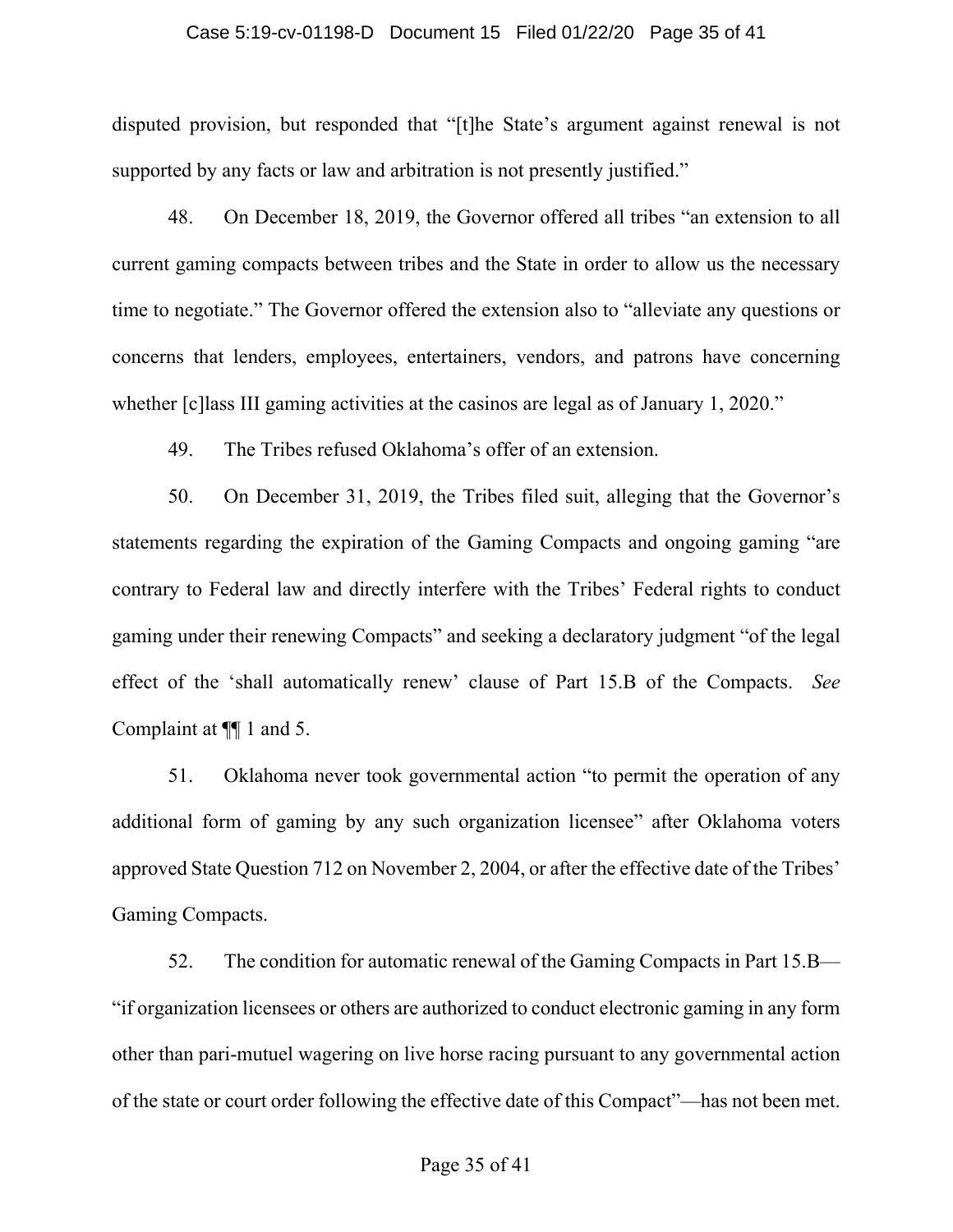### Case 5:19-cv-01198-D Document 15 Filed 01/22/20 Page 35 of 41

disputed provision, but responded that "[t]he State's argument against renewal is not supported by any facts or law and arbitration is not presently justified."

48. On December 18, 2019, the Governor offered all tribes "an extension to all current gaming compacts between tribes and the State in order to allow us the necessary time to negotiate." The Governor offered the extension also to "alleviate any questions or concerns that lenders, employees, entertainers, vendors, and patrons have concerning whether [c] lass III gaming activities at the casinos are legal as of January 1, 2020."

49. The Tribes refused Oklahoma's offer of an extension.

50. On December 31, 2019, the Tribes filed suit, alleging that the Governor's statements regarding the expiration of the Gaming Compacts and ongoing gaming "are contrary to Federal law and directly interfere with the Tribes' Federal rights to conduct gaming under their renewing Compacts" and seeking a declaratory judgment "of the legal effect of the 'shall automatically renew' clause of Part 15.B of the Compacts. *See* Complaint at ¶¶ 1 and 5.

51. Oklahoma never took governmental action "to permit the operation of any additional form of gaming by any such organization licensee" after Oklahoma voters approved State Question 712 on November 2, 2004, or after the effective date of the Tribes' Gaming Compacts.

52. The condition for automatic renewal of the Gaming Compacts in Part 15.B— "if organization licensees or others are authorized to conduct electronic gaming in any form other than pari-mutuel wagering on live horse racing pursuant to any governmental action of the state or court order following the effective date of this Compact"—has not been met.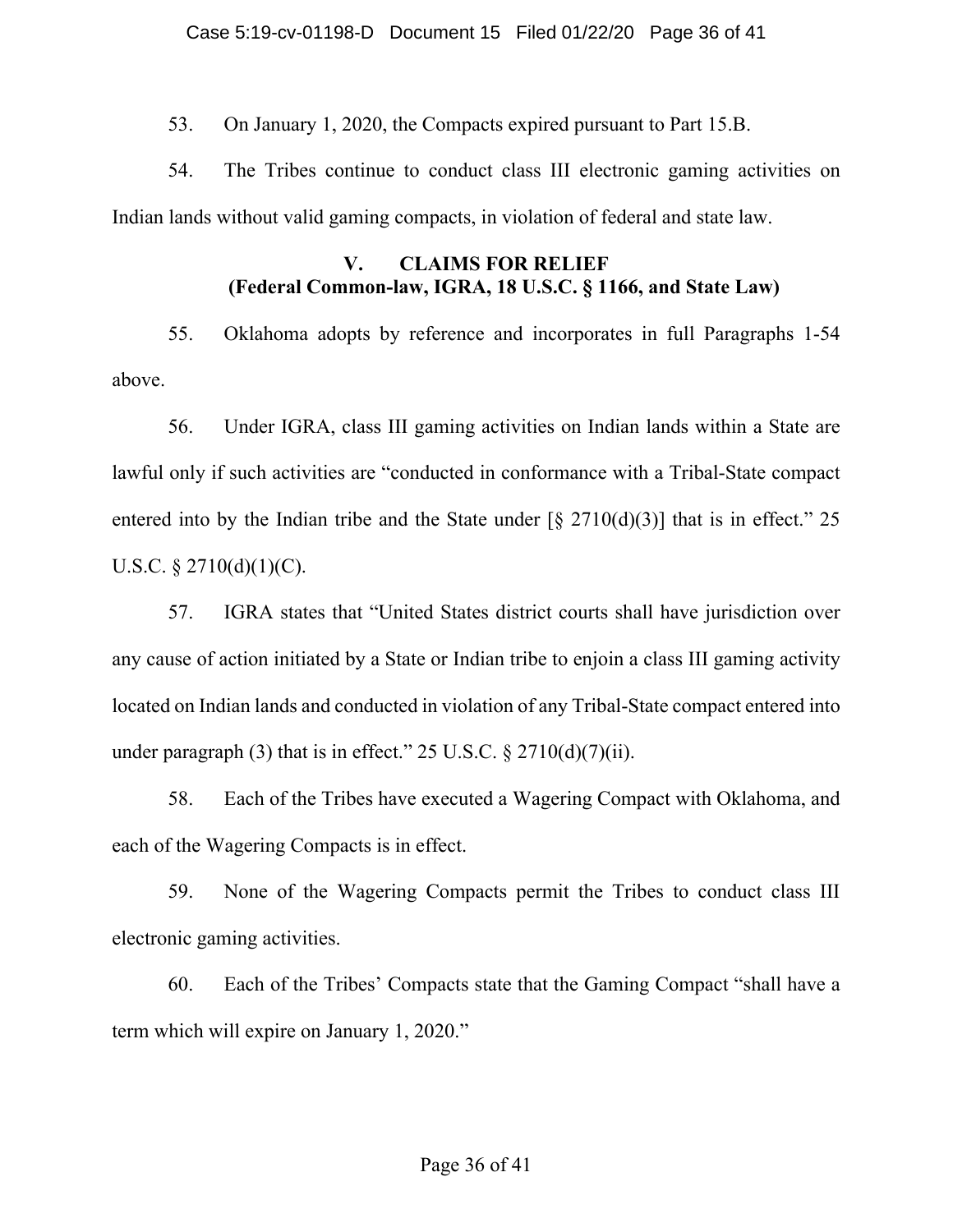53. On January 1, 2020, the Compacts expired pursuant to Part 15.B.

54. The Tribes continue to conduct class III electronic gaming activities on Indian lands without valid gaming compacts, in violation of federal and state law.

# **V. CLAIMS FOR RELIEF (Federal Common-law, IGRA, 18 U.S.C. § 1166, and State Law)**

55. Oklahoma adopts by reference and incorporates in full Paragraphs 1-54 above.

56. Under IGRA, class III gaming activities on Indian lands within a State are lawful only if such activities are "conducted in conformance with a Tribal-State compact entered into by the Indian tribe and the State under  $\lceil \frac{6}{5} \cdot 2710(d)(3) \rceil$  that is in effect." 25 U.S.C.  $\S 2710(d)(1)(C)$ .

57. IGRA states that "United States district courts shall have jurisdiction over any cause of action initiated by a State or Indian tribe to enjoin a class III gaming activity located on Indian lands and conducted in violation of any Tribal-State compact entered into under paragraph (3) that is in effect."  $25 \text{ U.S.C.} \frac{2710(d)}{7(ii)}$ .

58. Each of the Tribes have executed a Wagering Compact with Oklahoma, and each of the Wagering Compacts is in effect.

59. None of the Wagering Compacts permit the Tribes to conduct class III electronic gaming activities.

60. Each of the Tribes' Compacts state that the Gaming Compact "shall have a term which will expire on January 1, 2020."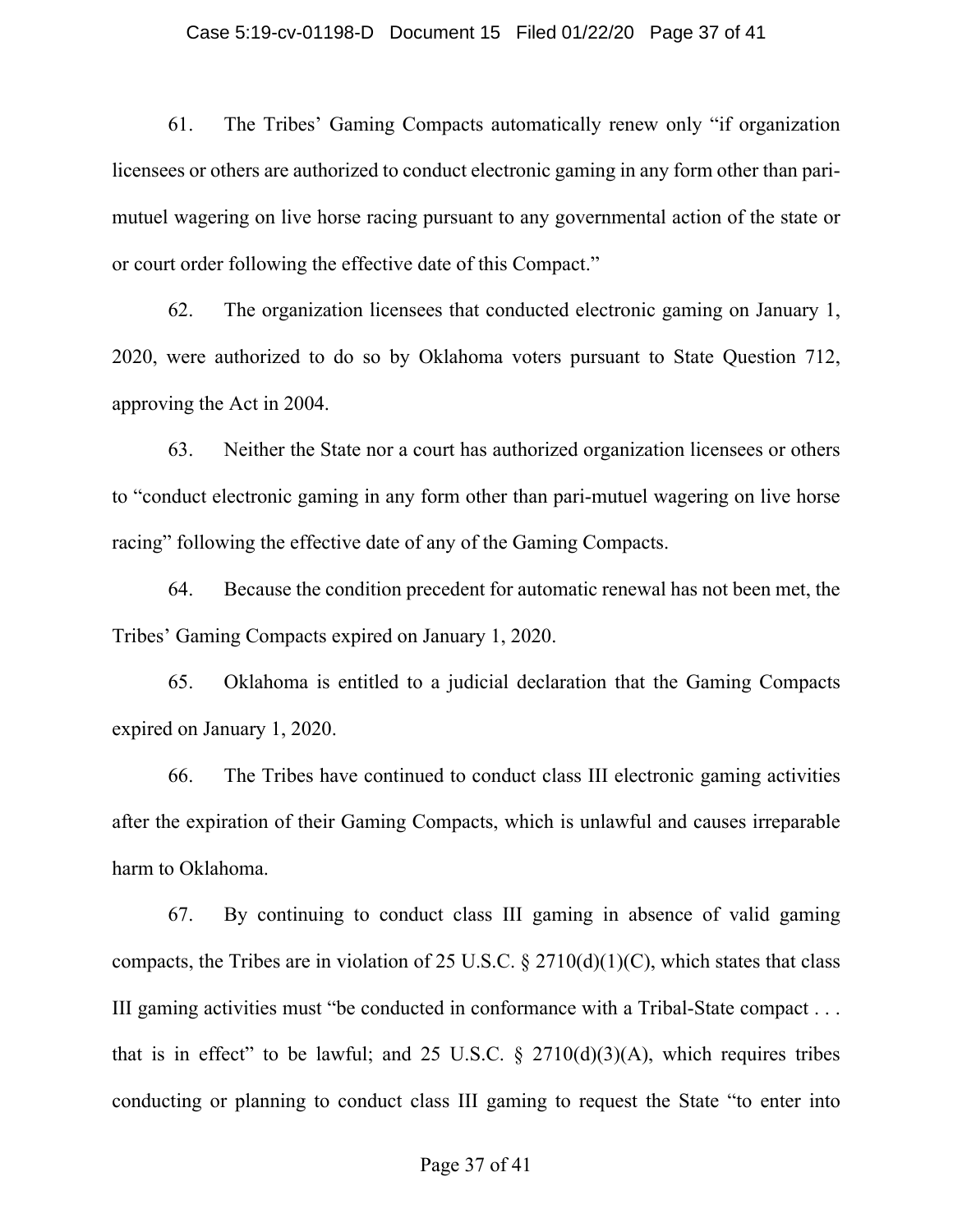### Case 5:19-cv-01198-D Document 15 Filed 01/22/20 Page 37 of 41

61. The Tribes' Gaming Compacts automatically renew only "if organization licensees or others are authorized to conduct electronic gaming in any form other than parimutuel wagering on live horse racing pursuant to any governmental action of the state or or court order following the effective date of this Compact."

62. The organization licensees that conducted electronic gaming on January 1, 2020, were authorized to do so by Oklahoma voters pursuant to State Question 712, approving the Act in 2004.

63. Neither the State nor a court has authorized organization licensees or others to "conduct electronic gaming in any form other than pari-mutuel wagering on live horse racing" following the effective date of any of the Gaming Compacts.

64. Because the condition precedent for automatic renewal has not been met, the Tribes' Gaming Compacts expired on January 1, 2020.

65. Oklahoma is entitled to a judicial declaration that the Gaming Compacts expired on January 1, 2020.

66. The Tribes have continued to conduct class III electronic gaming activities after the expiration of their Gaming Compacts, which is unlawful and causes irreparable harm to Oklahoma.

67. By continuing to conduct class III gaming in absence of valid gaming compacts, the Tribes are in violation of 25 U.S.C.  $\S 2710(d)(1)(C)$ , which states that class III gaming activities must "be conducted in conformance with a Tribal-State compact . . . that is in effect" to be lawful; and 25 U.S.C.  $\S$  2710(d)(3)(A), which requires tribes conducting or planning to conduct class III gaming to request the State "to enter into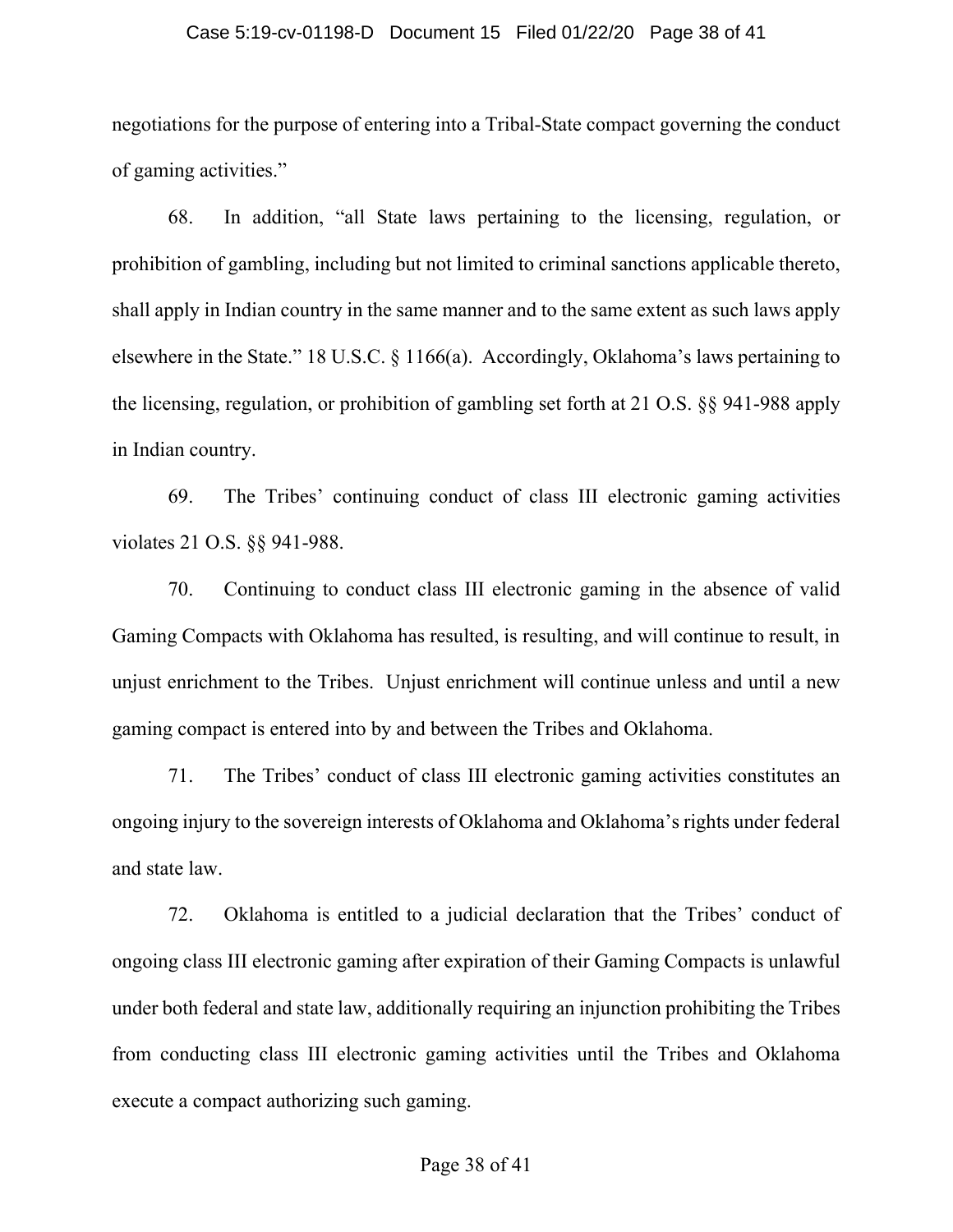### Case 5:19-cv-01198-D Document 15 Filed 01/22/20 Page 38 of 41

negotiations for the purpose of entering into a Tribal-State compact governing the conduct of gaming activities."

68. In addition, "all State laws pertaining to the licensing, regulation, or prohibition of gambling, including but not limited to criminal sanctions applicable thereto, shall apply in Indian country in the same manner and to the same extent as such laws apply elsewhere in the State." 18 U.S.C. § 1166(a). Accordingly, Oklahoma's laws pertaining to the licensing, regulation, or prohibition of gambling set forth at 21 O.S. §§ 941-988 apply in Indian country.

69. The Tribes' continuing conduct of class III electronic gaming activities violates 21 O.S. §§ 941-988.

70. Continuing to conduct class III electronic gaming in the absence of valid Gaming Compacts with Oklahoma has resulted, is resulting, and will continue to result, in unjust enrichment to the Tribes. Unjust enrichment will continue unless and until a new gaming compact is entered into by and between the Tribes and Oklahoma.

71. The Tribes' conduct of class III electronic gaming activities constitutes an ongoing injury to the sovereign interests of Oklahoma and Oklahoma's rights under federal and state law.

72. Oklahoma is entitled to a judicial declaration that the Tribes' conduct of ongoing class III electronic gaming after expiration of their Gaming Compacts is unlawful under both federal and state law, additionally requiring an injunction prohibiting the Tribes from conducting class III electronic gaming activities until the Tribes and Oklahoma execute a compact authorizing such gaming.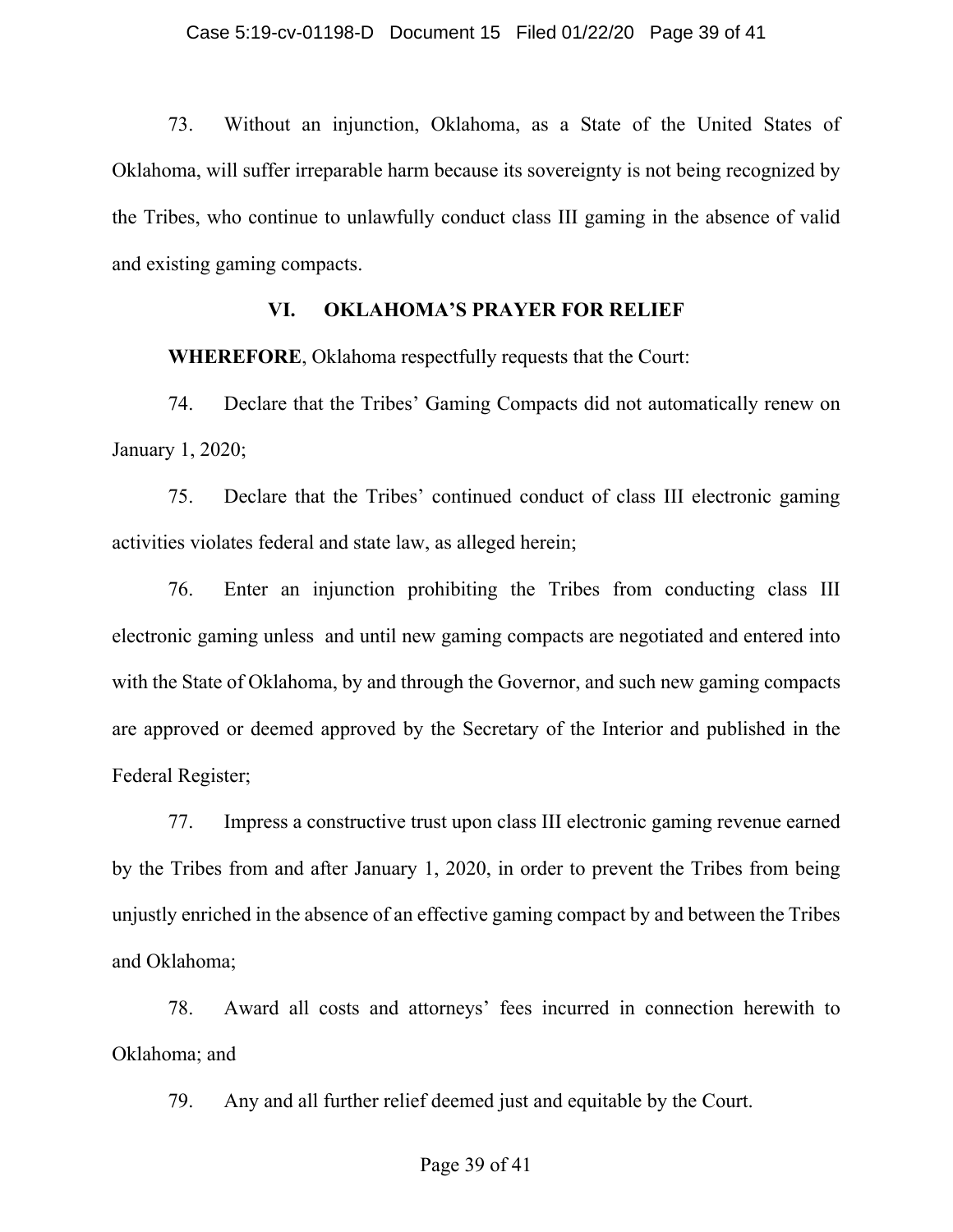73. Without an injunction, Oklahoma, as a State of the United States of Oklahoma, will suffer irreparable harm because its sovereignty is not being recognized by the Tribes, who continue to unlawfully conduct class III gaming in the absence of valid and existing gaming compacts.

## **VI. OKLAHOMA'S PRAYER FOR RELIEF**

**WHEREFORE**, Oklahoma respectfully requests that the Court:

74. Declare that the Tribes' Gaming Compacts did not automatically renew on January 1, 2020;

75. Declare that the Tribes' continued conduct of class III electronic gaming activities violates federal and state law, as alleged herein;

76. Enter an injunction prohibiting the Tribes from conducting class III electronic gaming unless and until new gaming compacts are negotiated and entered into with the State of Oklahoma, by and through the Governor, and such new gaming compacts are approved or deemed approved by the Secretary of the Interior and published in the Federal Register;

77. Impress a constructive trust upon class III electronic gaming revenue earned by the Tribes from and after January 1, 2020, in order to prevent the Tribes from being unjustly enriched in the absence of an effective gaming compact by and between the Tribes and Oklahoma;

78. Award all costs and attorneys' fees incurred in connection herewith to Oklahoma; and

79. Any and all further relief deemed just and equitable by the Court.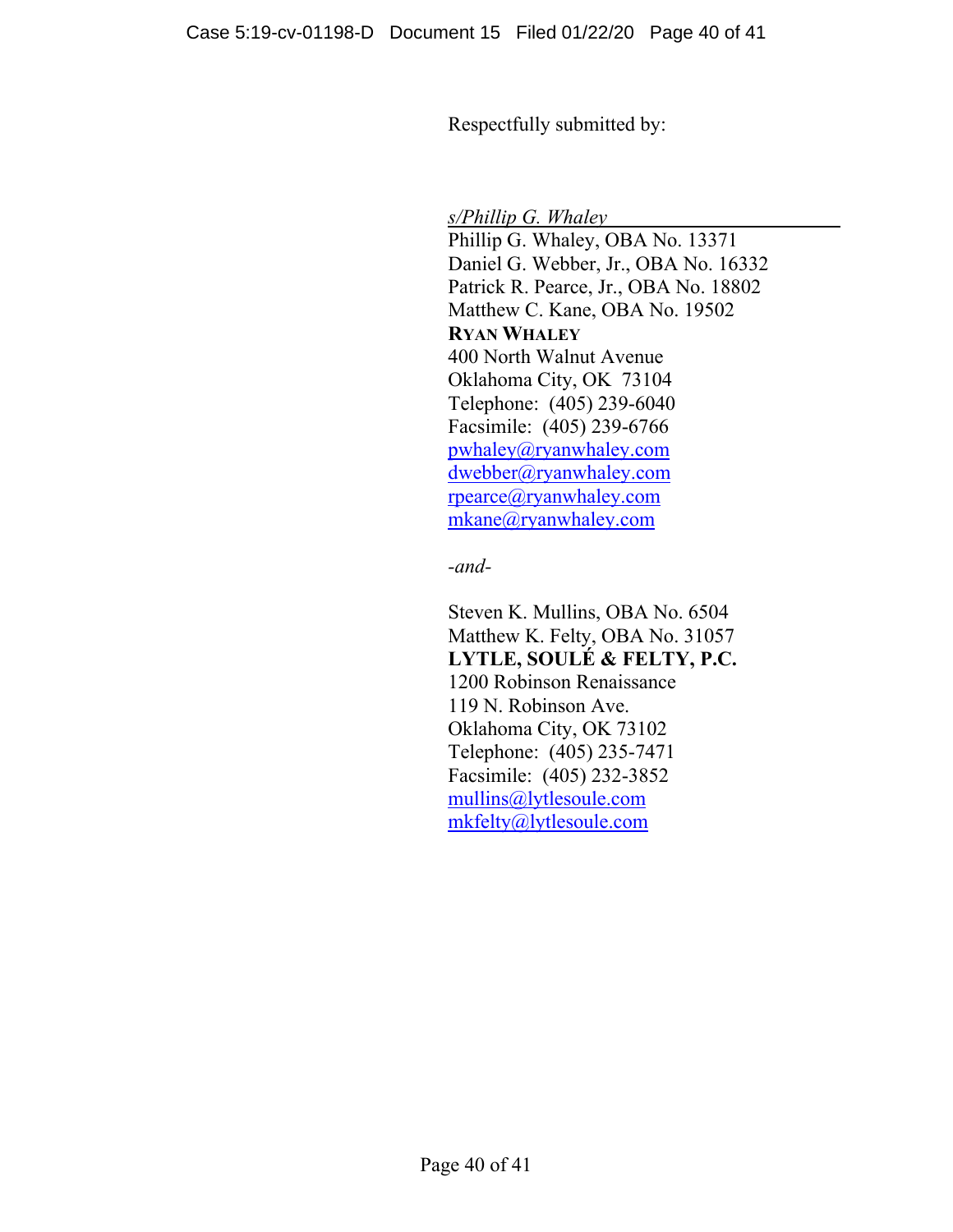Respectfully submitted by:

*s/Phillip G. Whaley* 

Phillip G. Whaley, OBA No. 13371 Daniel G. Webber, Jr., OBA No. 16332 Patrick R. Pearce, Jr., OBA No. 18802 Matthew C. Kane, OBA No. 19502 **RYAN WHALEY** 400 North Walnut Avenue Oklahoma City, OK 73104 Telephone: (405) 239-6040 Facsimile: (405) 239-6766 pwhaley@ryanwhaley.com dwebber@ryanwhaley.com rpearce@ryanwhaley.com mkane@ryanwhaley.com

*-and-* 

 Steven K. Mullins, OBA No. 6504 Matthew K. Felty, OBA No. 31057 **LYTLE, SOULÉ & FELTY, P.C.**  1200 Robinson Renaissance 119 N. Robinson Ave. Oklahoma City, OK 73102 Telephone: (405) 235-7471 Facsimile: (405) 232-3852 mullins@lytlesoule.com mkfelty@lytlesoule.com